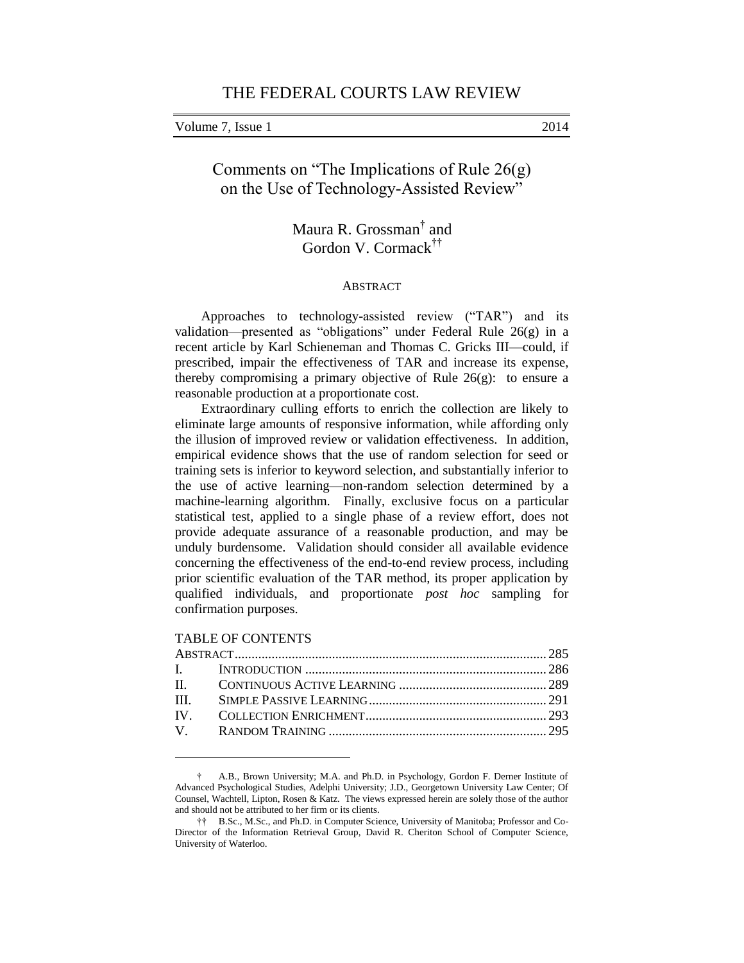Volume 7, Issue 1 2014

Comments on "The Implications of Rule 26(g) on the Use of Technology-Assisted Review"

> Maura R. Grossman† and Gordon V. Cormack††

## ABSTRACT

Approaches to technology-assisted review ("TAR") and its validation—presented as "obligations" under Federal Rule 26(g) in a recent article by Karl Schieneman and Thomas C. Gricks III—could, if prescribed, impair the effectiveness of TAR and increase its expense, thereby compromising a primary objective of Rule  $26(g)$ : to ensure a reasonable production at a proportionate cost.

Extraordinary culling efforts to enrich the collection are likely to eliminate large amounts of responsive information, while affording only the illusion of improved review or validation effectiveness. In addition, empirical evidence shows that the use of random selection for seed or training sets is inferior to keyword selection, and substantially inferior to the use of active learning—non-random selection determined by a machine-learning algorithm. Finally, exclusive focus on a particular statistical test, applied to a single phase of a review effort, does not provide adequate assurance of a reasonable production, and may be unduly burdensome. Validation should consider all available evidence concerning the effectiveness of the end-to-end review process, including prior scientific evaluation of the TAR method, its proper application by qualified individuals, and proportionate *post hoc* sampling for confirmation purposes.

#### TABLE OF CONTENTS

<sup>†</sup> A.B., Brown University; M.A. and Ph.D. in Psychology, Gordon F. Derner Institute of Advanced Psychological Studies, Adelphi University; J.D., Georgetown University Law Center; Of Counsel, Wachtell, Lipton, Rosen & Katz. The views expressed herein are solely those of the author and should not be attributed to her firm or its clients.

<sup>††</sup> B.Sc., M.Sc., and Ph.D. in Computer Science, University of Manitoba; Professor and Co-Director of the Information Retrieval Group, David R. Cheriton School of Computer Science, University of Waterloo.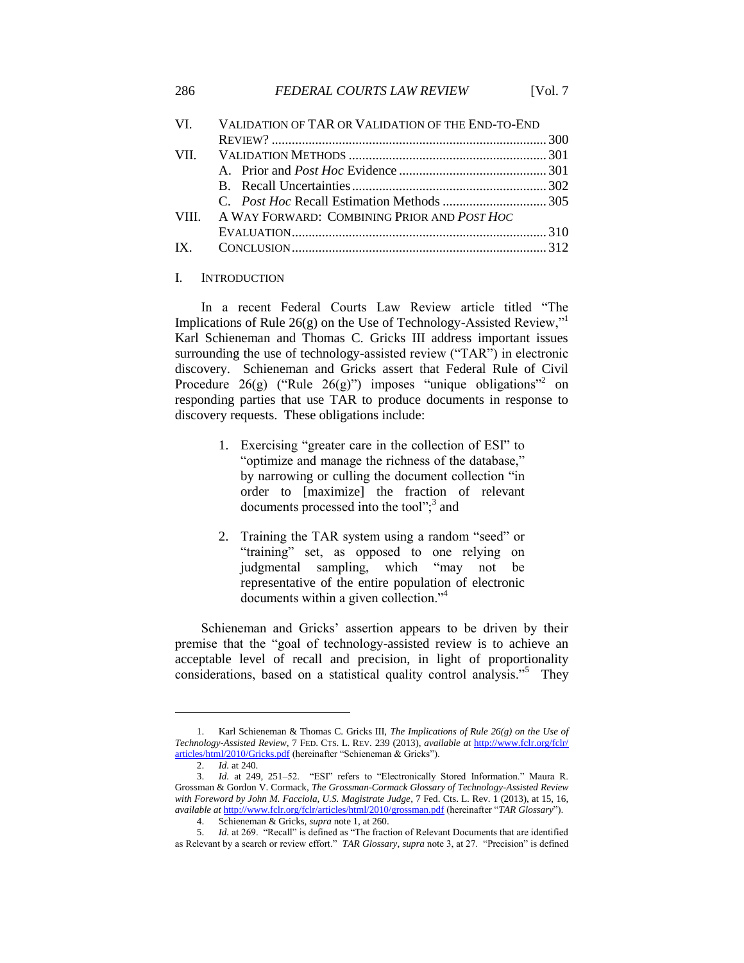|             | VI. VALIDATION OF TAR OR VALIDATION OF THE END-TO-END |  |
|-------------|-------------------------------------------------------|--|
|             |                                                       |  |
|             |                                                       |  |
|             |                                                       |  |
|             |                                                       |  |
|             |                                                       |  |
| <b>VIII</b> | A WAY FORWARD: COMBINING PRIOR AND POST HOC           |  |
|             |                                                       |  |
|             |                                                       |  |
|             |                                                       |  |

### I. INTRODUCTION

In a recent Federal Courts Law Review article titled "The Implications of Rule  $26(g)$  on the Use of Technology-Assisted Review," Karl Schieneman and Thomas C. Gricks III address important issues surrounding the use of technology-assisted review ("TAR") in electronic discovery. Schieneman and Gricks assert that Federal Rule of Civil Procedure  $26(g)$  ("Rule  $26(g)$ ") imposes "unique obligations"<sup>2</sup> on responding parties that use TAR to produce documents in response to discovery requests. These obligations include:

- 1. Exercising "greater care in the collection of ESI" to "optimize and manage the richness of the database," by narrowing or culling the document collection "in order to [maximize] the fraction of relevant documents processed into the tool"; $3$  and
- 2. Training the TAR system using a random "seed" or "training" set, as opposed to one relying on judgmental sampling, which "may not be representative of the entire population of electronic documents within a given collection."<sup>4</sup>

Schieneman and Gricks' assertion appears to be driven by their premise that the "goal of technology-assisted review is to achieve an acceptable level of recall and precision, in light of proportionality considerations, based on a statistical quality control analysis."<sup>5</sup> They

<sup>1.</sup> Karl Schieneman & Thomas C. Gricks III, *The Implications of Rule 26(g) on the Use of Technology-Assisted Review*, 7 FED. CTS. L. REV. 239 (2013), *available at* [http://www.fclr.org/fclr/](http://www.fclr.org/fclr/articles/html/2010/Gricks.pdf) [articles/html/2010/Gricks.pdf](http://www.fclr.org/fclr/articles/html/2010/Gricks.pdf) (hereinafter "Schieneman & Gricks").

<sup>2.</sup> *Id.* at 240.

<sup>3.</sup> *Id.* at 249, 251–52. "ESI" refers to "Electronically Stored Information." Maura R. Grossman & Gordon V. Cormack, *The Grossman-Cormack Glossary of Technology-Assisted Review with Foreword by John M. Facciola, U.S. Magistrate Judge*, 7 Fed. Cts. L. Rev. 1 (2013), at 15, 16, *available at* <http://www.fclr.org/fclr/articles/html/2010/grossman.pdf> (hereinafter "*TAR Glossary*").

<sup>4.</sup> Schieneman & Gricks, *supra* note 1, at 260.

<sup>5.</sup> *Id.* at 269. "Recall" is defined as "The fraction of Relevant Documents that are identified as Relevant by a search or review effort." *TAR Glossary*, *supra* note 3, at 27. "Precision" is defined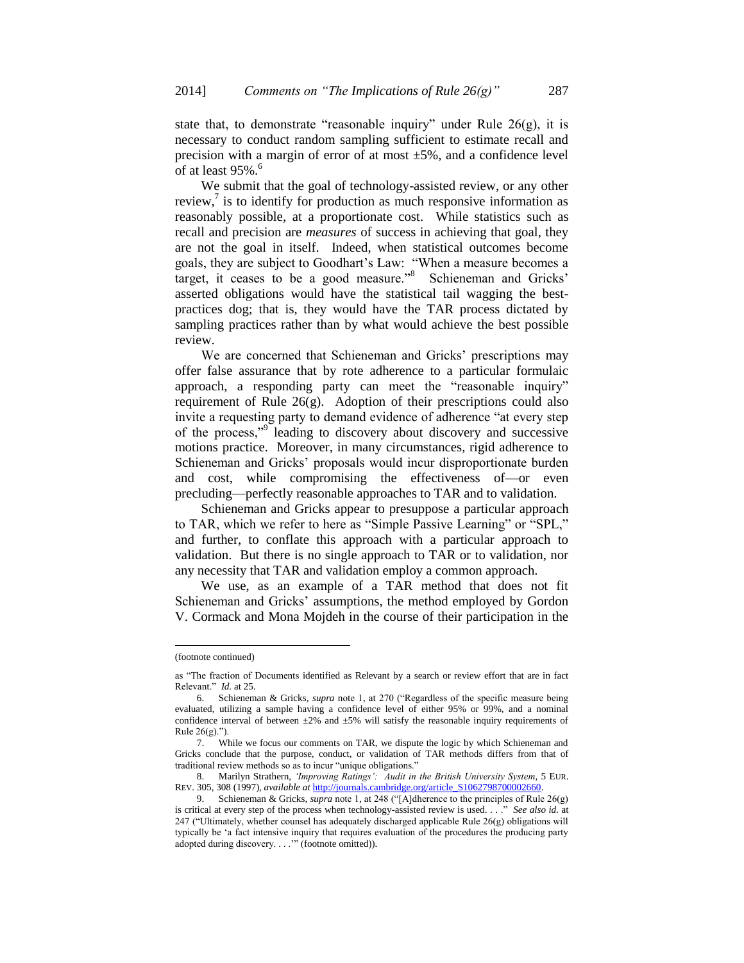state that, to demonstrate "reasonable inquiry" under Rule  $26(g)$ , it is necessary to conduct random sampling sufficient to estimate recall and precision with a margin of error of at most  $\pm 5\%$ , and a confidence level of at least 95%.<sup>6</sup>

We submit that the goal of technology-assisted review, or any other review, $\frac{7}{1}$  is to identify for production as much responsive information as reasonably possible, at a proportionate cost. While statistics such as recall and precision are *measures* of success in achieving that goal, they are not the goal in itself. Indeed, when statistical outcomes become goals, they are subject to Goodhart's Law: "When a measure becomes a target, it ceases to be a good measure."<sup>8</sup> Schieneman and Gricks' asserted obligations would have the statistical tail wagging the bestpractices dog; that is, they would have the TAR process dictated by sampling practices rather than by what would achieve the best possible review.

We are concerned that Schieneman and Gricks' prescriptions may offer false assurance that by rote adherence to a particular formulaic approach, a responding party can meet the "reasonable inquiry" requirement of Rule 26(g). Adoption of their prescriptions could also invite a requesting party to demand evidence of adherence "at every step of the process,"<sup>9</sup> leading to discovery about discovery and successive motions practice. Moreover, in many circumstances, rigid adherence to Schieneman and Gricks' proposals would incur disproportionate burden and cost, while compromising the effectiveness of—or even precluding—perfectly reasonable approaches to TAR and to validation.

Schieneman and Gricks appear to presuppose a particular approach to TAR, which we refer to here as "Simple Passive Learning" or "SPL," and further, to conflate this approach with a particular approach to validation. But there is no single approach to TAR or to validation, nor any necessity that TAR and validation employ a common approach.

We use, as an example of a TAR method that does not fit Schieneman and Gricks' assumptions, the method employed by Gordon V. Cormack and Mona Mojdeh in the course of their participation in the

<sup>(</sup>footnote continued)

as "The fraction of Documents identified as Relevant by a search or review effort that are in fact Relevant." *Id.* at 25.

<sup>6.</sup> Schieneman & Gricks, *supra* note 1, at 270 ("Regardless of the specific measure being evaluated, utilizing a sample having a confidence level of either 95% or 99%, and a nominal confidence interval of between  $\pm 2\%$  and  $\pm 5\%$  will satisfy the reasonable inquiry requirements of Rule 26(g).").

<sup>7.</sup> While we focus our comments on TAR, we dispute the logic by which Schieneman and Gricks conclude that the purpose, conduct, or validation of TAR methods differs from that of traditional review methods so as to incur "unique obligations."

<sup>8.</sup> Marilyn Strathern, *'Improving Ratings': Audit in the British University System*, 5 EUR. REV. 305, 308 (1997), *available at* [http://journals.cambridge.org/article\\_S1062798700002660.](http://journals.cambridge.org/article_S1062798700002660)

<sup>9.</sup> Schieneman & Gricks, *supra* note 1, at 248 ("[A]dherence to the principles of Rule 26(g) is critical at every step of the process when technology-assisted review is used. . . ." *See also id.* at 247 ("Ultimately, whether counsel has adequately discharged applicable Rule 26(g) obligations will typically be 'a fact intensive inquiry that requires evaluation of the procedures the producing party adopted during discovery. . . .'" (footnote omitted)).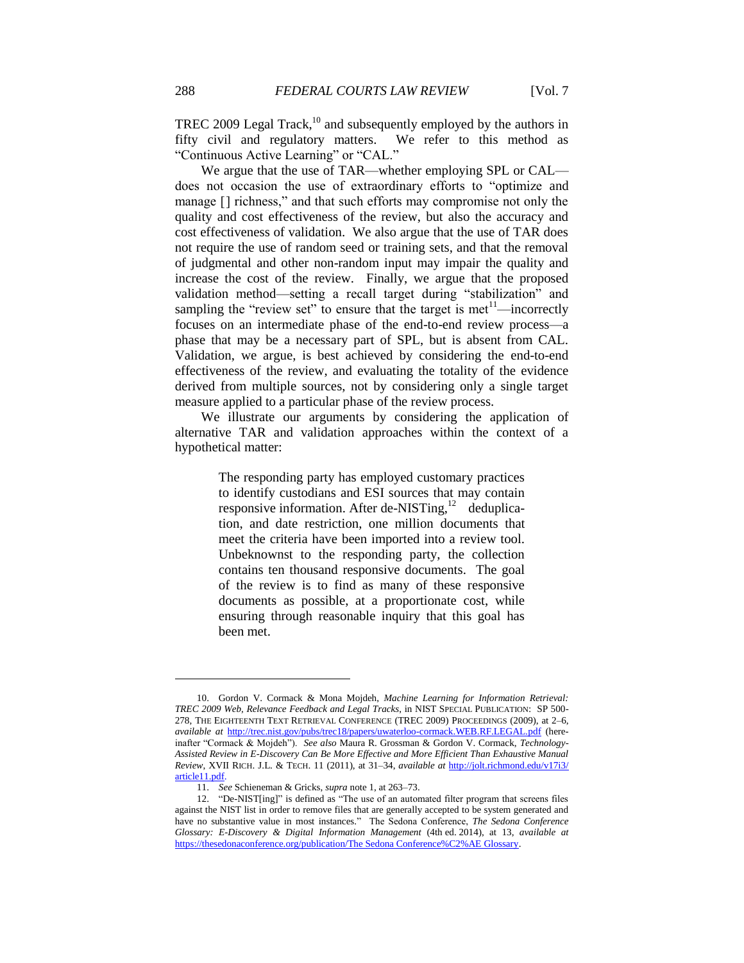TREC 2009 Legal Track, $^{10}$  and subsequently employed by the authors in fifty civil and regulatory matters. We refer to this method as "Continuous Active Learning" or "CAL."

We argue that the use of TAR—whether employing SPL or CAL does not occasion the use of extraordinary efforts to "optimize and manage [] richness," and that such efforts may compromise not only the quality and cost effectiveness of the review, but also the accuracy and cost effectiveness of validation. We also argue that the use of TAR does not require the use of random seed or training sets, and that the removal of judgmental and other non-random input may impair the quality and increase the cost of the review. Finally, we argue that the proposed validation method—setting a recall target during "stabilization" and sampling the "review set" to ensure that the target is met<sup>11</sup>—incorrectly focuses on an intermediate phase of the end-to-end review process—a phase that may be a necessary part of SPL, but is absent from CAL. Validation, we argue, is best achieved by considering the end-to-end effectiveness of the review, and evaluating the totality of the evidence derived from multiple sources, not by considering only a single target measure applied to a particular phase of the review process.

We illustrate our arguments by considering the application of alternative TAR and validation approaches within the context of a hypothetical matter:

> The responding party has employed customary practices to identify custodians and ESI sources that may contain responsive information. After de-NISTing,<sup>12</sup> deduplication, and date restriction, one million documents that meet the criteria have been imported into a review tool. Unbeknownst to the responding party, the collection contains ten thousand responsive documents. The goal of the review is to find as many of these responsive documents as possible, at a proportionate cost, while ensuring through reasonable inquiry that this goal has been met.

<sup>10.</sup> Gordon V. Cormack & Mona Mojdeh, *Machine Learning for Information Retrieval: TREC 2009 Web, Relevance Feedback and Legal Tracks*, in NIST SPECIAL PUBLICATION: SP 500- 278, THE EIGHTEENTH TEXT RETRIEVAL CONFERENCE (TREC 2009) PROCEEDINGS (2009), at 2–6, *available at* <http://trec.nist.gov/pubs/trec18/papers/uwaterloo-cormack.WEB.RF.LEGAL.pdf> (hereinafter "Cormack & Mojdeh"). *See also* Maura R. Grossman & Gordon V. Cormack, *Technology-Assisted Review in E-Discovery Can Be More Effective and More Efficient Than Exhaustive Manual Review*, XVII RICH. J.L. & TECH. 11 (2011), at 31–34, *available at* [http://jolt.richmond.edu/v17i3/](http://jolt.richmond.edu/v17i3/article11.pdf) [article11.pdf.](http://jolt.richmond.edu/v17i3/article11.pdf)

<sup>11.</sup> *See* Schieneman & Gricks, *supra* note 1, at 263–73.

<sup>12.</sup> "De-NIST[ing]" is defined as "The use of an automated filter program that screens files against the NIST list in order to remove files that are generally accepted to be system generated and have no substantive value in most instances." The Sedona Conference, *The Sedona Conference Glossary: E-Discovery & Digital Information Management* (4th ed. 2014), at 13, *available at* [https://thesedonaconference.org/publication/The Sedona Conference%C2%AE Glossary.](https://thesedonaconference.org/publication/The%20Sedona%20Conference%C2%AE%20Glossary)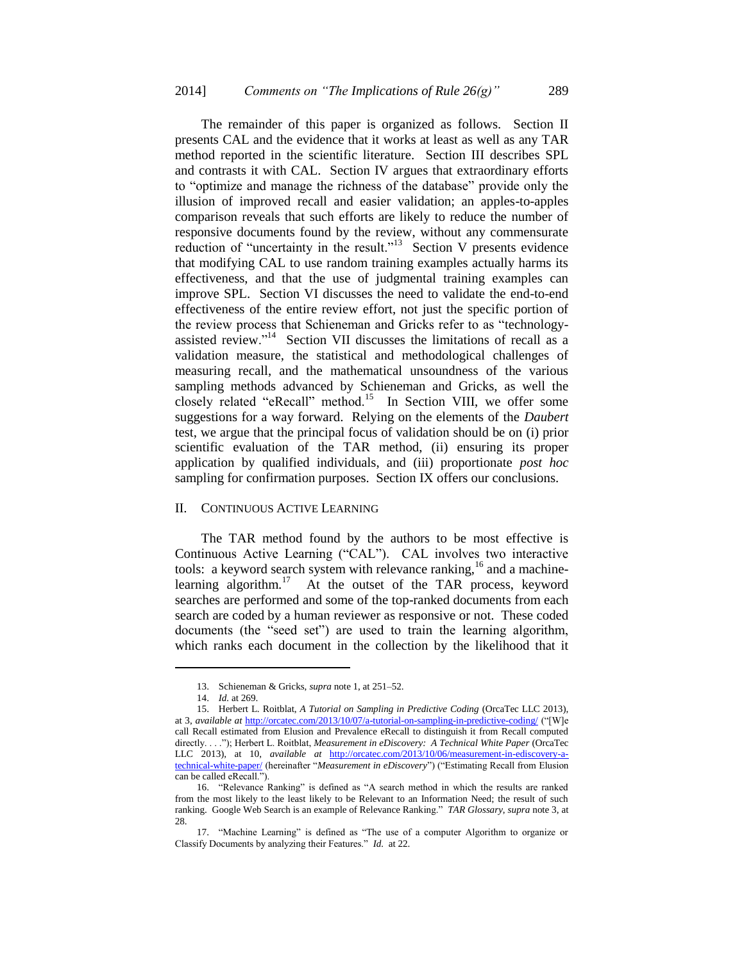The remainder of this paper is organized as follows. Section II presents CAL and the evidence that it works at least as well as any TAR method reported in the scientific literature. Section III describes SPL and contrasts it with CAL. Section IV argues that extraordinary efforts to "optimize and manage the richness of the database" provide only the illusion of improved recall and easier validation; an apples-to-apples comparison reveals that such efforts are likely to reduce the number of responsive documents found by the review, without any commensurate reduction of "uncertainty in the result."<sup>13</sup> Section V presents evidence that modifying CAL to use random training examples actually harms its effectiveness, and that the use of judgmental training examples can improve SPL. Section VI discusses the need to validate the end-to-end effectiveness of the entire review effort, not just the specific portion of the review process that Schieneman and Gricks refer to as "technologyassisted review."<sup>14</sup> Section VII discusses the limitations of recall as a validation measure, the statistical and methodological challenges of measuring recall, and the mathematical unsoundness of the various sampling methods advanced by Schieneman and Gricks, as well the closely related "eRecall" method.<sup>15</sup> In Section VIII, we offer some suggestions for a way forward. Relying on the elements of the *Daubert* test, we argue that the principal focus of validation should be on (i) prior scientific evaluation of the TAR method, (ii) ensuring its proper application by qualified individuals, and (iii) proportionate *post hoc* sampling for confirmation purposes. Section IX offers our conclusions.

## II. CONTINUOUS ACTIVE LEARNING

The TAR method found by the authors to be most effective is Continuous Active Learning ("CAL"). CAL involves two interactive tools: a keyword search system with relevance ranking,  $16$  and a machinelearning algorithm.<sup>17</sup> At the outset of the TAR process, keyword searches are performed and some of the top-ranked documents from each search are coded by a human reviewer as responsive or not. These coded documents (the "seed set") are used to train the learning algorithm, which ranks each document in the collection by the likelihood that it

<sup>13.</sup> Schieneman & Gricks, *supra* note 1, at 251–52.

<sup>14.</sup> *Id.* at 269.

<sup>15.</sup> Herbert L. Roitblat, *A Tutorial on Sampling in Predictive Coding* (OrcaTec LLC 2013), at 3, *available at* <http://orcatec.com/2013/10/07/a-tutorial-on-sampling-in-predictive-coding/> ("[W]e call Recall estimated from Elusion and Prevalence eRecall to distinguish it from Recall computed directly. . . ."); Herbert L. Roitblat, *Measurement in eDiscovery: A Technical White Paper* (OrcaTec LLC 2013), at 10, *available at* [http://orcatec.com/2013/10/06/measurement-in-ediscovery-a](http://orcatec.com/2013/10/06/measurement-in-ediscovery-a-technical-white-paper/)[technical-white-paper/](http://orcatec.com/2013/10/06/measurement-in-ediscovery-a-technical-white-paper/) (hereinafter "*Measurement in eDiscovery*") ("Estimating Recall from Elusion can be called eRecall.").

<sup>16.</sup> "Relevance Ranking" is defined as "A search method in which the results are ranked from the most likely to the least likely to be Relevant to an Information Need; the result of such ranking. Google Web Search is an example of Relevance Ranking." *TAR Glossary*, *supra* note 3, at 28.

<sup>17.</sup> "Machine Learning" is defined as "The use of a computer Algorithm to organize or Classify Documents by analyzing their Features." *Id.* at 22.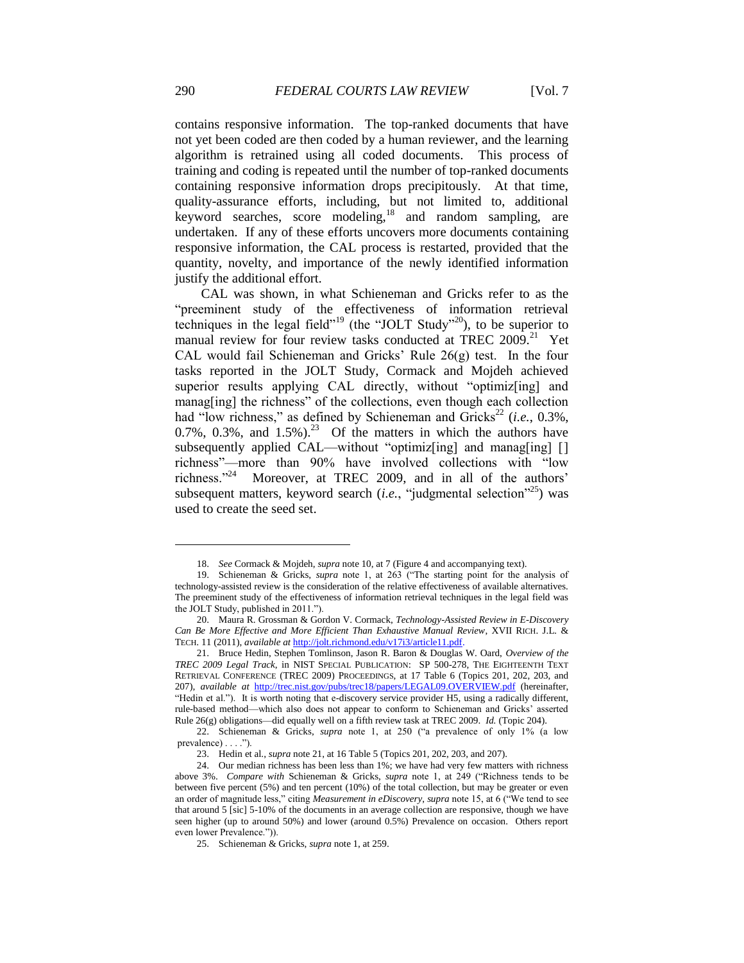contains responsive information. The top-ranked documents that have not yet been coded are then coded by a human reviewer, and the learning algorithm is retrained using all coded documents. This process of training and coding is repeated until the number of top-ranked documents containing responsive information drops precipitously. At that time, quality-assurance efforts, including, but not limited to, additional keyword searches, score modeling,<sup>18</sup> and random sampling, are undertaken. If any of these efforts uncovers more documents containing responsive information, the CAL process is restarted, provided that the quantity, novelty, and importance of the newly identified information justify the additional effort.

CAL was shown, in what Schieneman and Gricks refer to as the "preeminent study of the effectiveness of information retrieval techniques in the legal field"<sup>19</sup> (the "JOLT Study"<sup>20</sup>), to be superior to manual review for four review tasks conducted at TREC 2009.<sup>21</sup> Yet CAL would fail Schieneman and Gricks' Rule 26(g) test. In the four tasks reported in the JOLT Study, Cormack and Mojdeh achieved superior results applying CAL directly, without "optimiz[ing] and manag[ing] the richness" of the collections, even though each collection had "low richness," as defined by Schieneman and Gricks<sup>22</sup> (*i.e.*, 0.3%, 0.7%, 0.3%, and  $1.5\%$ ).<sup>23</sup> Of the matters in which the authors have subsequently applied CAL—without "optimiz[ing] and manag[ing] [] richness"—more than 90% have involved collections with "low richness."<sup>24</sup> Moreover, at TREC 2009, and in all of the authors' subsequent matters, keyword search (*i.e.*, "judgmental selection"<sup>25</sup>) was used to create the seed set.

<sup>18.</sup> *See* Cormack & Mojdeh, *supra* note 10, at 7 (Figure 4 and accompanying text).

<sup>19.</sup> Schieneman & Gricks, *supra* note 1, at 263 ("The starting point for the analysis of technology-assisted review is the consideration of the relative effectiveness of available alternatives. The preeminent study of the effectiveness of information retrieval techniques in the legal field was the JOLT Study, published in 2011.").

<sup>20.</sup> Maura R. Grossman & Gordon V. Cormack, *Technology-Assisted Review in E-Discovery Can Be More Effective and More Efficient Than Exhaustive Manual Review*, XVII RICH. J.L. & TECH. 11 (2011), *available at* [http://jolt.richmond.edu/v17i3/article11.pdf.](http://jolt.richmond.edu/v17i3/article11.pdf)

<sup>21.</sup> Bruce Hedin, Stephen Tomlinson, Jason R. Baron & Douglas W. Oard, *Overview of the TREC 2009 Legal Track*, in NIST SPECIAL PUBLICATION: SP 500-278, THE EIGHTEENTH TEXT RETRIEVAL CONFERENCE (TREC 2009) PROCEEDINGS, at 17 Table 6 (Topics 201, 202, 203, and 207), *available at* <http://trec.nist.gov/pubs/trec18/papers/LEGAL09.OVERVIEW.pdf> (hereinafter, "Hedin et al."). It is worth noting that e-discovery service provider H5, using a radically different, rule-based method—which also does not appear to conform to Schieneman and Gricks' asserted Rule 26(g) obligations—did equally well on a fifth review task at TREC 2009. *Id.* (Topic 204).

<sup>22.</sup> Schieneman & Gricks, *supra* note 1, at 250 ("a prevalence of only 1% (a low prevalence) . . . .").

<sup>23.</sup> Hedin et al., *supra* note 21, at 16 Table 5 (Topics 201, 202, 203, and 207).

<sup>24.</sup> Our median richness has been less than 1%; we have had very few matters with richness above 3%. *Compare with* Schieneman & Gricks, *supra* note 1, at 249 ("Richness tends to be between five percent (5%) and ten percent (10%) of the total collection, but may be greater or even an order of magnitude less," citing *Measurement in eDiscovery*, *supra* note 15, at 6 ("We tend to see that around 5 [sic] 5-10% of the documents in an average collection are responsive, though we have seen higher (up to around 50%) and lower (around 0.5%) Prevalence on occasion. Others report even lower Prevalence.")).

<sup>25.</sup> Schieneman & Gricks, *supra* note 1, at 259.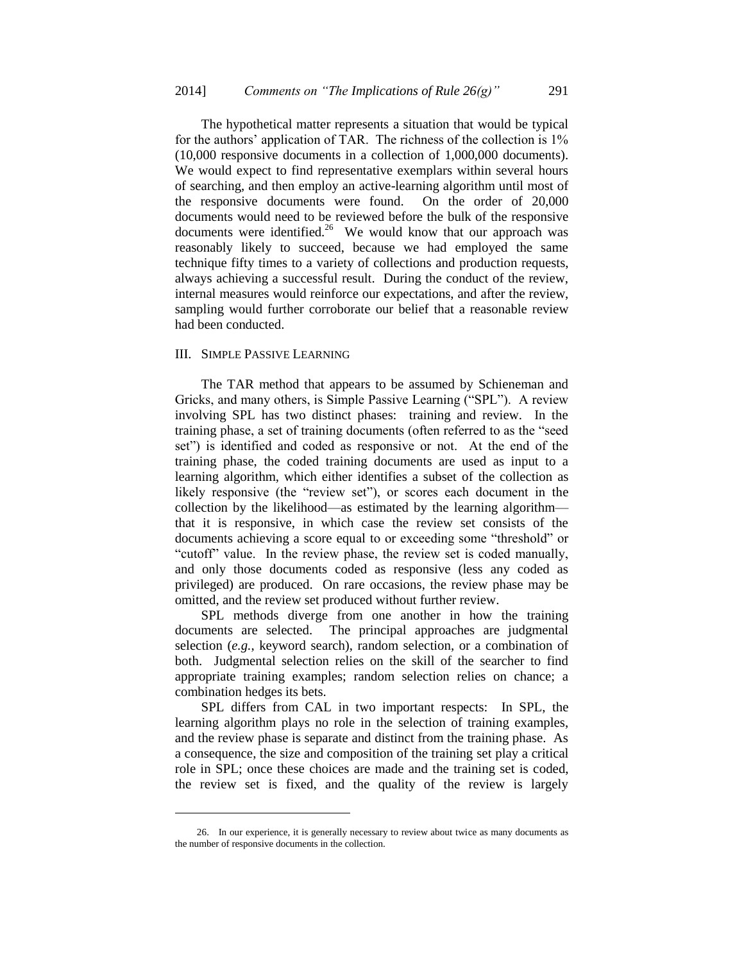The hypothetical matter represents a situation that would be typical for the authors' application of TAR. The richness of the collection is 1% (10,000 responsive documents in a collection of 1,000,000 documents). We would expect to find representative exemplars within several hours of searching, and then employ an active-learning algorithm until most of the responsive documents were found. On the order of 20,000 documents would need to be reviewed before the bulk of the responsive documents were identified.<sup>26</sup> We would know that our approach was reasonably likely to succeed, because we had employed the same technique fifty times to a variety of collections and production requests, always achieving a successful result. During the conduct of the review, internal measures would reinforce our expectations, and after the review, sampling would further corroborate our belief that a reasonable review had been conducted.

## III. SIMPLE PASSIVE LEARNING

l

The TAR method that appears to be assumed by Schieneman and Gricks, and many others, is Simple Passive Learning ("SPL"). A review involving SPL has two distinct phases: training and review. In the training phase, a set of training documents (often referred to as the "seed set") is identified and coded as responsive or not. At the end of the training phase, the coded training documents are used as input to a learning algorithm, which either identifies a subset of the collection as likely responsive (the "review set"), or scores each document in the collection by the likelihood—as estimated by the learning algorithm that it is responsive, in which case the review set consists of the documents achieving a score equal to or exceeding some "threshold" or "cutoff" value. In the review phase, the review set is coded manually, and only those documents coded as responsive (less any coded as privileged) are produced. On rare occasions, the review phase may be omitted, and the review set produced without further review.

SPL methods diverge from one another in how the training documents are selected. The principal approaches are judgmental selection (*e.g.*, keyword search), random selection, or a combination of both. Judgmental selection relies on the skill of the searcher to find appropriate training examples; random selection relies on chance; a combination hedges its bets.

SPL differs from CAL in two important respects: In SPL, the learning algorithm plays no role in the selection of training examples, and the review phase is separate and distinct from the training phase. As a consequence, the size and composition of the training set play a critical role in SPL; once these choices are made and the training set is coded, the review set is fixed, and the quality of the review is largely

<sup>26.</sup> In our experience, it is generally necessary to review about twice as many documents as the number of responsive documents in the collection.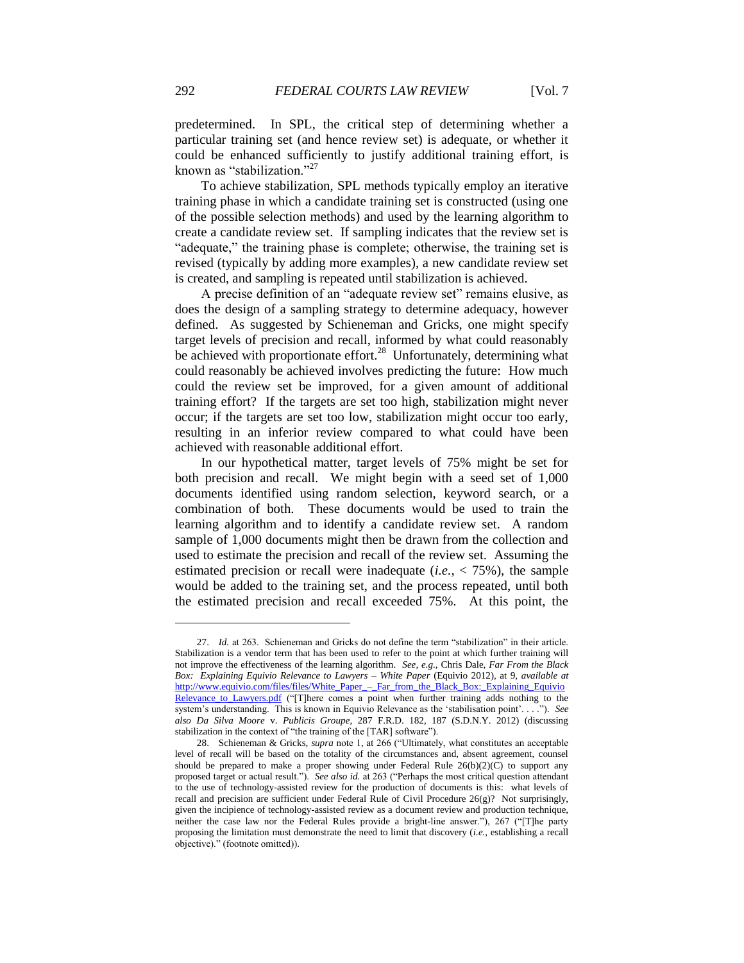predetermined. In SPL, the critical step of determining whether a particular training set (and hence review set) is adequate, or whether it could be enhanced sufficiently to justify additional training effort, is known as "stabilization."<sup>27</sup>

To achieve stabilization, SPL methods typically employ an iterative training phase in which a candidate training set is constructed (using one of the possible selection methods) and used by the learning algorithm to create a candidate review set. If sampling indicates that the review set is "adequate," the training phase is complete; otherwise, the training set is revised (typically by adding more examples), a new candidate review set is created, and sampling is repeated until stabilization is achieved.

A precise definition of an "adequate review set" remains elusive, as does the design of a sampling strategy to determine adequacy, however defined. As suggested by Schieneman and Gricks, one might specify target levels of precision and recall, informed by what could reasonably be achieved with proportionate effort.<sup>28</sup> Unfortunately, determining what could reasonably be achieved involves predicting the future: How much could the review set be improved, for a given amount of additional training effort? If the targets are set too high, stabilization might never occur; if the targets are set too low, stabilization might occur too early, resulting in an inferior review compared to what could have been achieved with reasonable additional effort.

In our hypothetical matter, target levels of 75% might be set for both precision and recall. We might begin with a seed set of 1,000 documents identified using random selection, keyword search, or a combination of both. These documents would be used to train the learning algorithm and to identify a candidate review set. A random sample of 1,000 documents might then be drawn from the collection and used to estimate the precision and recall of the review set. Assuming the estimated precision or recall were inadequate  $(i.e., < 75\%)$ , the sample would be added to the training set, and the process repeated, until both the estimated precision and recall exceeded 75%. At this point, the

<sup>27.</sup> *Id.* at 263. Schieneman and Gricks do not define the term "stabilization" in their article. Stabilization is a vendor term that has been used to refer to the point at which further training will not improve the effectiveness of the learning algorithm. *See, e.g.*, Chris Dale, *Far From the Black Box: Explaining Equivio Relevance to Lawyers – White Paper* (Equivio 2012), at 9, *available at* [http://www.equivio.com/files/files/White\\_Paper\\_–\\_Far\\_from\\_the\\_Black\\_Box:\\_Explaining\\_Equivio](http://www.equivio.com/files/files/White%20Paper%20-%20Far%20from%20the%20Black%20Box%20-%20Explaining%20Equivio%20Relevance%20to%20Lawyers.pdf)  Relevance to Lawyers.pdf ("[T]here comes a point when further training adds nothing to the system's understanding. This is known in Equivio Relevance as the 'stabilisation point'. . . ."). *See also Da Silva Moore* v. *Publicis Groupe*, 287 F.R.D. 182, 187 (S.D.N.Y. 2012) (discussing stabilization in the context of "the training of the [TAR] software").

<sup>28.</sup> Schieneman & Gricks, *supra* note 1, at 266 ("Ultimately, what constitutes an acceptable level of recall will be based on the totality of the circumstances and, absent agreement, counsel should be prepared to make a proper showing under Federal Rule  $26(b)(2)(C)$  to support any proposed target or actual result."). *See also id.* at 263 ("Perhaps the most critical question attendant to the use of technology-assisted review for the production of documents is this: what levels of recall and precision are sufficient under Federal Rule of Civil Procedure  $26(g)$ ? Not surprisingly, given the incipience of technology-assisted review as a document review and production technique, neither the case law nor the Federal Rules provide a bright-line answer."), 267 ("[T]he party proposing the limitation must demonstrate the need to limit that discovery (*i.e.*, establishing a recall objective)." (footnote omitted)).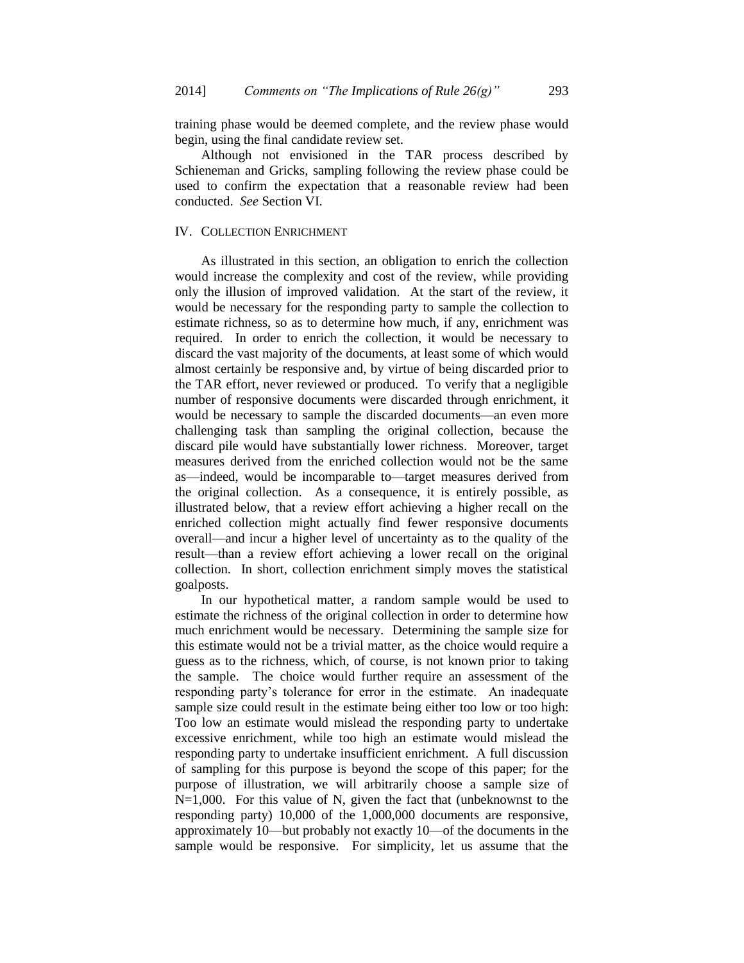training phase would be deemed complete, and the review phase would begin, using the final candidate review set.

Although not envisioned in the TAR process described by Schieneman and Gricks, sampling following the review phase could be used to confirm the expectation that a reasonable review had been conducted. *See* Section VI.

#### IV. COLLECTION ENRICHMENT

As illustrated in this section, an obligation to enrich the collection would increase the complexity and cost of the review, while providing only the illusion of improved validation. At the start of the review, it would be necessary for the responding party to sample the collection to estimate richness, so as to determine how much, if any, enrichment was required. In order to enrich the collection, it would be necessary to discard the vast majority of the documents, at least some of which would almost certainly be responsive and, by virtue of being discarded prior to the TAR effort, never reviewed or produced. To verify that a negligible number of responsive documents were discarded through enrichment, it would be necessary to sample the discarded documents—an even more challenging task than sampling the original collection, because the discard pile would have substantially lower richness. Moreover, target measures derived from the enriched collection would not be the same as—indeed, would be incomparable to—target measures derived from the original collection. As a consequence, it is entirely possible, as illustrated below, that a review effort achieving a higher recall on the enriched collection might actually find fewer responsive documents overall—and incur a higher level of uncertainty as to the quality of the result—than a review effort achieving a lower recall on the original collection. In short, collection enrichment simply moves the statistical goalposts.

In our hypothetical matter, a random sample would be used to estimate the richness of the original collection in order to determine how much enrichment would be necessary. Determining the sample size for this estimate would not be a trivial matter, as the choice would require a guess as to the richness, which, of course, is not known prior to taking the sample. The choice would further require an assessment of the responding party's tolerance for error in the estimate. An inadequate sample size could result in the estimate being either too low or too high: Too low an estimate would mislead the responding party to undertake excessive enrichment, while too high an estimate would mislead the responding party to undertake insufficient enrichment. A full discussion of sampling for this purpose is beyond the scope of this paper; for the purpose of illustration, we will arbitrarily choose a sample size of  $N=1,000$ . For this value of N, given the fact that (unbeknownst to the responding party) 10,000 of the 1,000,000 documents are responsive, approximately 10—but probably not exactly 10—of the documents in the sample would be responsive. For simplicity, let us assume that the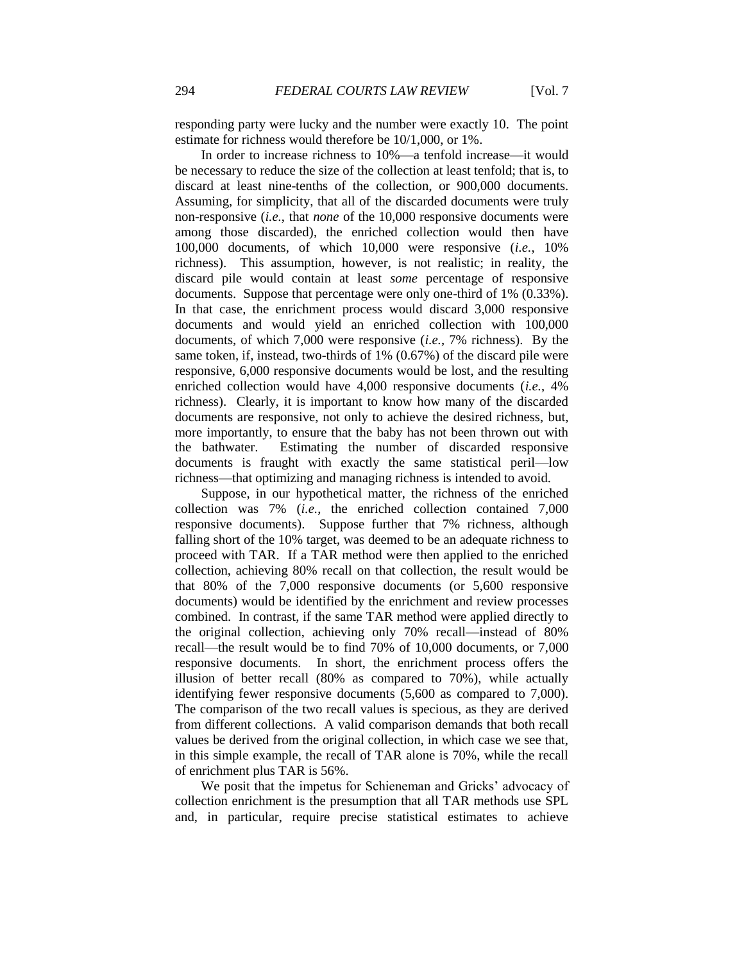responding party were lucky and the number were exactly 10. The point estimate for richness would therefore be 10/1,000, or 1%.

In order to increase richness to 10%—a tenfold increase—it would be necessary to reduce the size of the collection at least tenfold; that is, to discard at least nine-tenths of the collection, or 900,000 documents. Assuming, for simplicity, that all of the discarded documents were truly non-responsive (*i.e.*, that *none* of the 10,000 responsive documents were among those discarded), the enriched collection would then have 100,000 documents, of which 10,000 were responsive (*i.e.*, 10% richness). This assumption, however, is not realistic; in reality, the discard pile would contain at least *some* percentage of responsive documents. Suppose that percentage were only one-third of 1% (0.33%). In that case, the enrichment process would discard 3,000 responsive documents and would yield an enriched collection with 100,000 documents, of which 7,000 were responsive (*i.e.*, 7% richness). By the same token, if, instead, two-thirds of 1% (0.67%) of the discard pile were responsive, 6,000 responsive documents would be lost, and the resulting enriched collection would have 4,000 responsive documents (*i.e.*, 4% richness). Clearly, it is important to know how many of the discarded documents are responsive, not only to achieve the desired richness, but, more importantly, to ensure that the baby has not been thrown out with the bathwater. Estimating the number of discarded responsive documents is fraught with exactly the same statistical peril—low richness—that optimizing and managing richness is intended to avoid.

Suppose, in our hypothetical matter, the richness of the enriched collection was 7% (*i.e.*, the enriched collection contained 7,000 responsive documents). Suppose further that 7% richness, although falling short of the 10% target, was deemed to be an adequate richness to proceed with TAR. If a TAR method were then applied to the enriched collection, achieving 80% recall on that collection, the result would be that 80% of the 7,000 responsive documents (or 5,600 responsive documents) would be identified by the enrichment and review processes combined. In contrast, if the same TAR method were applied directly to the original collection, achieving only 70% recall—instead of 80% recall—the result would be to find 70% of 10,000 documents, or 7,000 responsive documents. In short, the enrichment process offers the illusion of better recall (80% as compared to 70%), while actually identifying fewer responsive documents (5,600 as compared to 7,000). The comparison of the two recall values is specious, as they are derived from different collections. A valid comparison demands that both recall values be derived from the original collection, in which case we see that, in this simple example, the recall of TAR alone is 70%, while the recall of enrichment plus TAR is 56%.

We posit that the impetus for Schieneman and Gricks' advocacy of collection enrichment is the presumption that all TAR methods use SPL and, in particular, require precise statistical estimates to achieve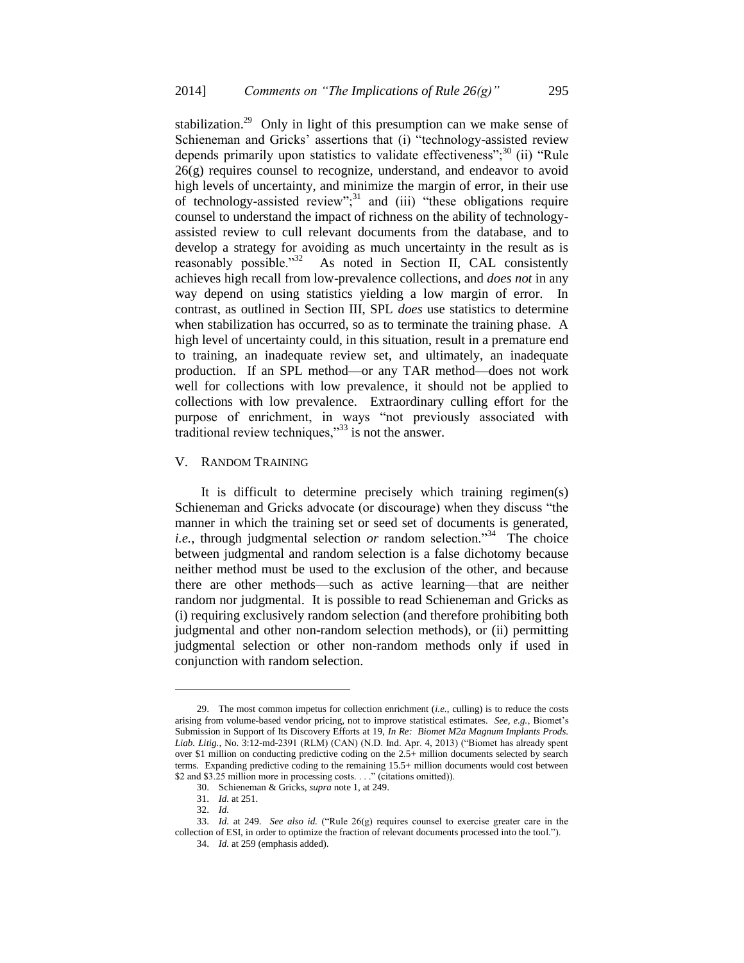stabilization.<sup>29</sup> Only in light of this presumption can we make sense of Schieneman and Gricks' assertions that (i) "technology-assisted review depends primarily upon statistics to validate effectiveness"; $30$  (ii) "Rule 26(g) requires counsel to recognize, understand, and endeavor to avoid high levels of uncertainty, and minimize the margin of error, in their use of technology-assisted review"; $31$  and (iii) "these obligations require counsel to understand the impact of richness on the ability of technologyassisted review to cull relevant documents from the database, and to develop a strategy for avoiding as much uncertainty in the result as is reasonably possible."32 As noted in Section II, CAL consistently achieves high recall from low-prevalence collections, and *does not* in any way depend on using statistics yielding a low margin of error. In contrast, as outlined in Section III, SPL *does* use statistics to determine when stabilization has occurred, so as to terminate the training phase. A high level of uncertainty could, in this situation, result in a premature end to training, an inadequate review set, and ultimately, an inadequate production. If an SPL method—or any TAR method—does not work well for collections with low prevalence, it should not be applied to collections with low prevalence. Extraordinary culling effort for the purpose of enrichment, in ways "not previously associated with traditional review techniques, $^{33}$  is not the answer.

## V. RANDOM TRAINING

It is difficult to determine precisely which training regimen(s) Schieneman and Gricks advocate (or discourage) when they discuss "the manner in which the training set or seed set of documents is generated, i.e., through judgmental selection or random selection."<sup>34</sup> The choice between judgmental and random selection is a false dichotomy because neither method must be used to the exclusion of the other, and because there are other methods—such as active learning—that are neither random nor judgmental. It is possible to read Schieneman and Gricks as (i) requiring exclusively random selection (and therefore prohibiting both judgmental and other non-random selection methods), or (ii) permitting judgmental selection or other non-random methods only if used in conjunction with random selection.

<sup>29.</sup> The most common impetus for collection enrichment (*i.e.*, culling) is to reduce the costs arising from volume-based vendor pricing, not to improve statistical estimates. *See*, *e.g.*, Biomet's Submission in Support of Its Discovery Efforts at 19, *In Re: Biomet M2a Magnum Implants Prods. Liab. Litig.*, No. 3:12-md-2391 (RLM) (CAN) (N.D. Ind. Apr. 4, 2013) ("Biomet has already spent over \$1 million on conducting predictive coding on the 2.5+ million documents selected by search terms. Expanding predictive coding to the remaining 15.5+ million documents would cost between \$2 and \$3.25 million more in processing costs. . . ." (citations omitted)).

<sup>30.</sup> Schieneman & Gricks, *supra* note 1, at 249.

<sup>31.</sup> *Id.* at 251.

<sup>32.</sup> *Id.*

<sup>33.</sup> *Id.* at 249. *See also id.* ("Rule 26(g) requires counsel to exercise greater care in the collection of ESI, in order to optimize the fraction of relevant documents processed into the tool.").

<sup>34.</sup> *Id.* at 259 (emphasis added).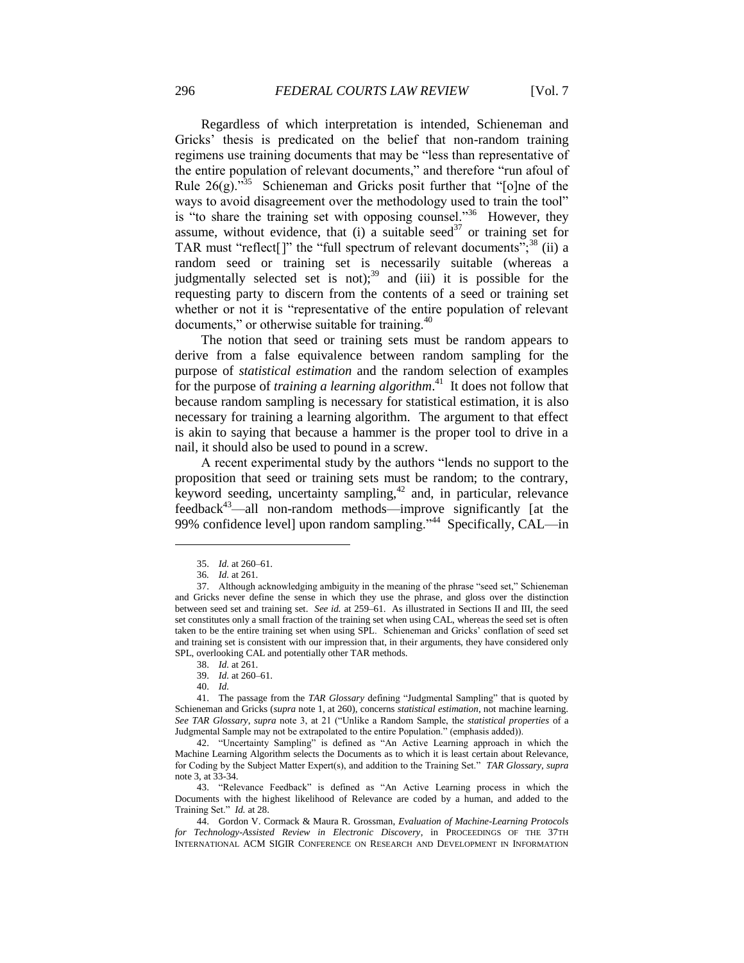Regardless of which interpretation is intended, Schieneman and Gricks' thesis is predicated on the belief that non-random training regimens use training documents that may be "less than representative of the entire population of relevant documents," and therefore "run afoul of Rule  $26(g)$ .<sup>35</sup> Schieneman and Gricks posit further that "[o]ne of the ways to avoid disagreement over the methodology used to train the tool" is "to share the training set with opposing counsel."<sup>36</sup> However, they assume, without evidence, that (i) a suitable seed<sup>37</sup> or training set for TAR must "reflect[]" the "full spectrum of relevant documents"; $^{38}$  (ii) a random seed or training set is necessarily suitable (whereas a judgmentally selected set is not);<sup>39</sup> and (iii) it is possible for the requesting party to discern from the contents of a seed or training set whether or not it is "representative of the entire population of relevant documents," or otherwise suitable for training.<sup>40</sup>

The notion that seed or training sets must be random appears to derive from a false equivalence between random sampling for the purpose of *statistical estimation* and the random selection of examples for the purpose of *training a learning algorithm*. 41 It does not follow that because random sampling is necessary for statistical estimation, it is also necessary for training a learning algorithm. The argument to that effect is akin to saying that because a hammer is the proper tool to drive in a nail, it should also be used to pound in a screw.

A recent experimental study by the authors "lends no support to the proposition that seed or training sets must be random; to the contrary, keyword seeding, uncertainty sampling,<sup>42</sup> and, in particular, relevance feedback<sup>43</sup>—all non-random methods—improve significantly [at the 99% confidence level] upon random sampling."<sup>44</sup> Specifically, CAL—in

<sup>35.</sup> *Id.* at 260–61.

<sup>36</sup>*. Id.* at 261.

<sup>37.</sup> Although acknowledging ambiguity in the meaning of the phrase "seed set," Schieneman and Gricks never define the sense in which they use the phrase, and gloss over the distinction between seed set and training set. *See id.* at 259–61. As illustrated in Sections II and III, the seed set constitutes only a small fraction of the training set when using CAL, whereas the seed set is often taken to be the entire training set when using SPL. Schieneman and Gricks' conflation of seed set and training set is consistent with our impression that, in their arguments, they have considered only SPL, overlooking CAL and potentially other TAR methods.

<sup>38.</sup> *Id.* at 261.

<sup>39.</sup> *Id.* at 260–61.

<sup>40.</sup> *Id.*

<sup>41.</sup> The passage from the *TAR Glossary* defining "Judgmental Sampling" that is quoted by Schieneman and Gricks (*supra* note 1, at 260), concerns *statistical estimation*, not machine learning. *See TAR Glossary*, *supra* note 3, at 21 ("Unlike a Random Sample, the *statistical properties* of a Judgmental Sample may not be extrapolated to the entire Population." (emphasis added)).

<sup>42.</sup> "Uncertainty Sampling" is defined as "An Active Learning approach in which the Machine Learning Algorithm selects the Documents as to which it is least certain about Relevance, for Coding by the Subject Matter Expert(s), and addition to the Training Set." *TAR Glossary*, *supra* note 3, at 33-34.

<sup>43.</sup> "Relevance Feedback" is defined as "An Active Learning process in which the Documents with the highest likelihood of Relevance are coded by a human, and added to the Training Set." *Id.* at 28.

<sup>44.</sup> Gordon V. Cormack & Maura R. Grossman, *Evaluation of Machine-Learning Protocols for Technology-Assisted Review in Electronic Discovery*, in PROCEEDINGS OF THE 37TH INTERNATIONAL ACM SIGIR CONFERENCE ON RESEARCH AND DEVELOPMENT IN INFORMATION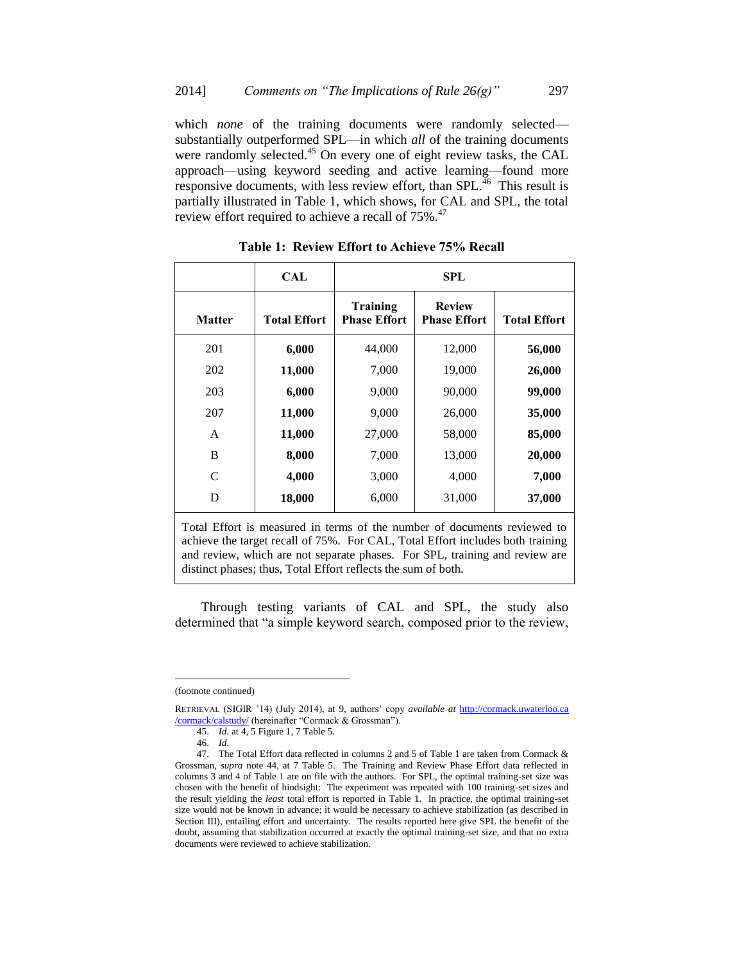which *none* of the training documents were randomly selected substantially outperformed SPL—in which *all* of the training documents were randomly selected.<sup>45</sup> On every one of eight review tasks, the CAL approach—using keyword seeding and active learning—found more responsive documents, with less review effort, than  $SPL$ <sup> $\frac{1}{46}$ </sup> This result is partially illustrated in Table 1, which shows, for CAL and SPL, the total review effort required to achieve a recall of 75%.<sup>47</sup>

|                                                                          | <b>CAL</b>          | SPL                                    |                                      |                     |  |
|--------------------------------------------------------------------------|---------------------|----------------------------------------|--------------------------------------|---------------------|--|
| <b>Matter</b>                                                            | <b>Total Effort</b> | <b>Training</b><br><b>Phase Effort</b> | <b>Review</b><br><b>Phase Effort</b> | <b>Total Effort</b> |  |
| 201                                                                      | 6,000               | 44,000                                 | 12,000                               | 56,000              |  |
| 202                                                                      | 11,000              | 7,000                                  | 19,000                               | 26,000              |  |
| 203                                                                      | 6,000               | 9,000                                  | 90,000                               | 99,000              |  |
| 207                                                                      | 11,000              | 9,000                                  | 26,000                               | 35,000              |  |
| A                                                                        | 11,000              | 27,000                                 | 58,000                               | 85,000              |  |
| B                                                                        | 8,000               | 7,000                                  | 13,000                               | 20,000              |  |
| C                                                                        | 4,000               | 3,000                                  | 4,000                                | 7,000               |  |
| D                                                                        | 18,000              | 6,000                                  | 31,000                               | 37,000              |  |
| Total Effort is measured in terms of the number of documents reviewed to |                     |                                        |                                      |                     |  |

**Table 1: Review Effort to Achieve 75% Recall**

achieve the target recall of 75%. For CAL, Total Effort includes both training and review, which are not separate phases. For SPL, training and review are distinct phases; thus, Total Effort reflects the sum of both.

Through testing variants of CAL and SPL, the study also determined that "a simple keyword search, composed prior to the review,

<sup>(</sup>footnote continued)

RETRIEVAL (SIGIR '14) (July 2014), at 9, authors' copy *available at* [http://cormack.uwaterloo.ca](http://cormack.uwaterloo.ca/cormack/calstudy/) [/cormack/calstudy/](http://cormack.uwaterloo.ca/cormack/calstudy/) (hereinafter "Cormack & Grossman").

<sup>45.</sup> *Id.* at 4, 5 Figure 1, 7 Table 5.

<sup>46.</sup> *Id.*

<sup>47.</sup> The Total Effort data reflected in columns 2 and 5 of Table 1 are taken from Cormack & Grossman, *supra* note 44, at 7 Table 5. The Training and Review Phase Effort data reflected in columns 3 and 4 of Table 1 are on file with the authors. For SPL, the optimal training-set size was chosen with the benefit of hindsight: The experiment was repeated with 100 training-set sizes and the result yielding the *least* total effort is reported in Table 1. In practice, the optimal training-set size would not be known in advance; it would be necessary to achieve stabilization (as described in Section III), entailing effort and uncertainty. The results reported here give SPL the benefit of the doubt, assuming that stabilization occurred at exactly the optimal training-set size, and that no extra documents were reviewed to achieve stabilization.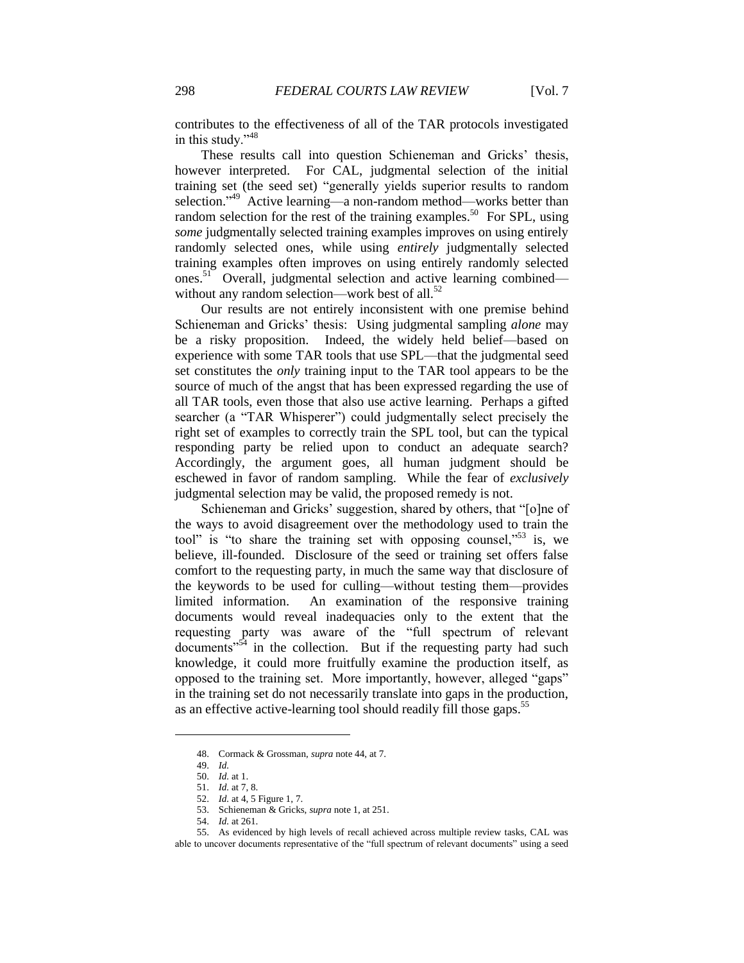contributes to the effectiveness of all of the TAR protocols investigated in this study."<sup>48</sup>

These results call into question Schieneman and Gricks' thesis, however interpreted. For CAL, judgmental selection of the initial training set (the seed set) "generally yields superior results to random selection."<sup>49</sup> Active learning—a non-random method—works better than random selection for the rest of the training examples.<sup>50</sup> For SPL, using *some* judgmentally selected training examples improves on using entirely randomly selected ones, while using *entirely* judgmentally selected training examples often improves on using entirely randomly selected ones.<sup>51</sup> Overall, judgmental selection and active learning combined without any random selection—work best of all. $52$ 

Our results are not entirely inconsistent with one premise behind Schieneman and Gricks' thesis: Using judgmental sampling *alone* may be a risky proposition. Indeed, the widely held belief—based on experience with some TAR tools that use SPL—that the judgmental seed set constitutes the *only* training input to the TAR tool appears to be the source of much of the angst that has been expressed regarding the use of all TAR tools, even those that also use active learning. Perhaps a gifted searcher (a "TAR Whisperer") could judgmentally select precisely the right set of examples to correctly train the SPL tool, but can the typical responding party be relied upon to conduct an adequate search? Accordingly, the argument goes, all human judgment should be eschewed in favor of random sampling. While the fear of *exclusively* judgmental selection may be valid, the proposed remedy is not.

Schieneman and Gricks' suggestion, shared by others, that "[o]ne of the ways to avoid disagreement over the methodology used to train the tool" is "to share the training set with opposing counsel,"<sup>53</sup> is, we believe, ill-founded. Disclosure of the seed or training set offers false comfort to the requesting party, in much the same way that disclosure of the keywords to be used for culling—without testing them—provides limited information. An examination of the responsive training documents would reveal inadequacies only to the extent that the requesting party was aware of the "full spectrum of relevant  $\alpha$  documents<sup> $554$ </sup> in the collection. But if the requesting party had such knowledge, it could more fruitfully examine the production itself, as opposed to the training set. More importantly, however, alleged "gaps" in the training set do not necessarily translate into gaps in the production, as an effective active-learning tool should readily fill those gaps.<sup>55</sup>

<sup>48.</sup> Cormack & Grossman, *supra* note 44, at 7.

<sup>49.</sup> *Id.*

<sup>50.</sup> *Id.* at 1.

<sup>51.</sup> *Id.* at 7, 8.

<sup>52.</sup> *Id.* at 4, 5 Figure 1, 7.

<sup>53.</sup> Schieneman & Gricks, *supra* note 1, at 251.

<sup>54.</sup> *Id.* at 261.

<sup>55.</sup> As evidenced by high levels of recall achieved across multiple review tasks, CAL was able to uncover documents representative of the "full spectrum of relevant documents" using a seed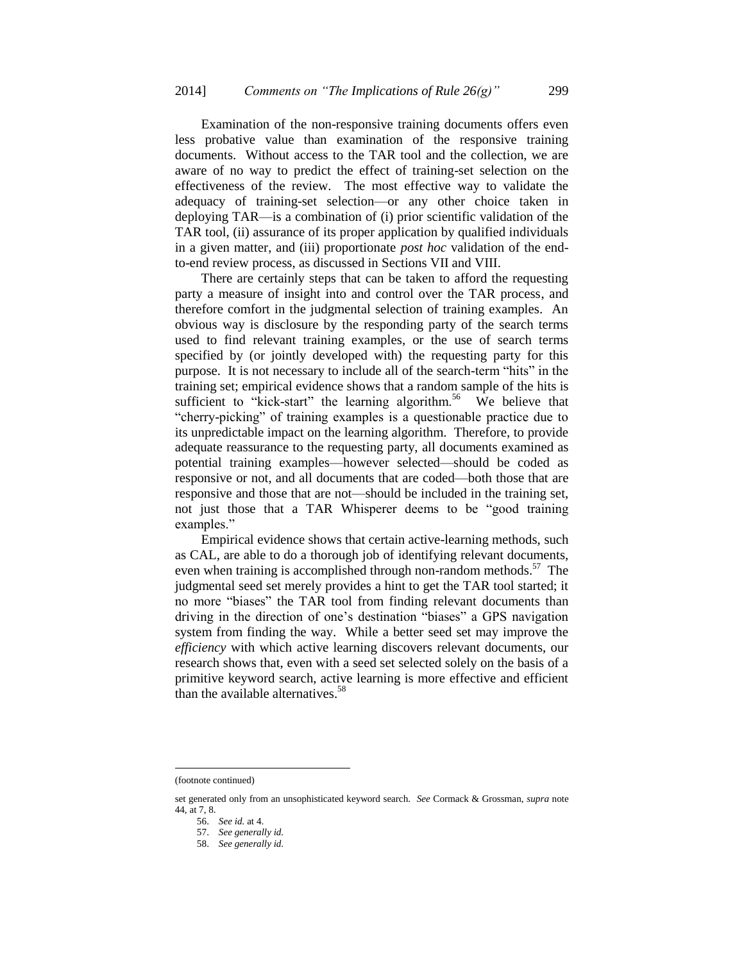Examination of the non-responsive training documents offers even less probative value than examination of the responsive training documents. Without access to the TAR tool and the collection, we are aware of no way to predict the effect of training-set selection on the effectiveness of the review. The most effective way to validate the adequacy of training-set selection—or any other choice taken in deploying TAR—is a combination of (i) prior scientific validation of the TAR tool, (ii) assurance of its proper application by qualified individuals in a given matter, and (iii) proportionate *post hoc* validation of the endto-end review process, as discussed in Sections VII and VIII.

There are certainly steps that can be taken to afford the requesting party a measure of insight into and control over the TAR process, and therefore comfort in the judgmental selection of training examples. An obvious way is disclosure by the responding party of the search terms used to find relevant training examples, or the use of search terms specified by (or jointly developed with) the requesting party for this purpose. It is not necessary to include all of the search-term "hits" in the training set; empirical evidence shows that a random sample of the hits is sufficient to "kick-start" the learning algorithm.<sup>56</sup> We believe that "cherry-picking" of training examples is a questionable practice due to its unpredictable impact on the learning algorithm. Therefore, to provide adequate reassurance to the requesting party, all documents examined as potential training examples—however selected—should be coded as responsive or not, and all documents that are coded—both those that are responsive and those that are not—should be included in the training set, not just those that a TAR Whisperer deems to be "good training examples."

Empirical evidence shows that certain active-learning methods, such as CAL, are able to do a thorough job of identifying relevant documents, even when training is accomplished through non-random methods. $57$  The judgmental seed set merely provides a hint to get the TAR tool started; it no more "biases" the TAR tool from finding relevant documents than driving in the direction of one's destination "biases" a GPS navigation system from finding the way. While a better seed set may improve the *efficiency* with which active learning discovers relevant documents, our research shows that, even with a seed set selected solely on the basis of a primitive keyword search, active learning is more effective and efficient than the available alternatives.<sup>58</sup>

<sup>(</sup>footnote continued)

set generated only from an unsophisticated keyword search. *See* Cormack & Grossman, *supra* note 44, at 7, 8.

<sup>56.</sup> *See id.* at 4.

<sup>57.</sup> *See generally id.*

<sup>58.</sup> *See generally id.*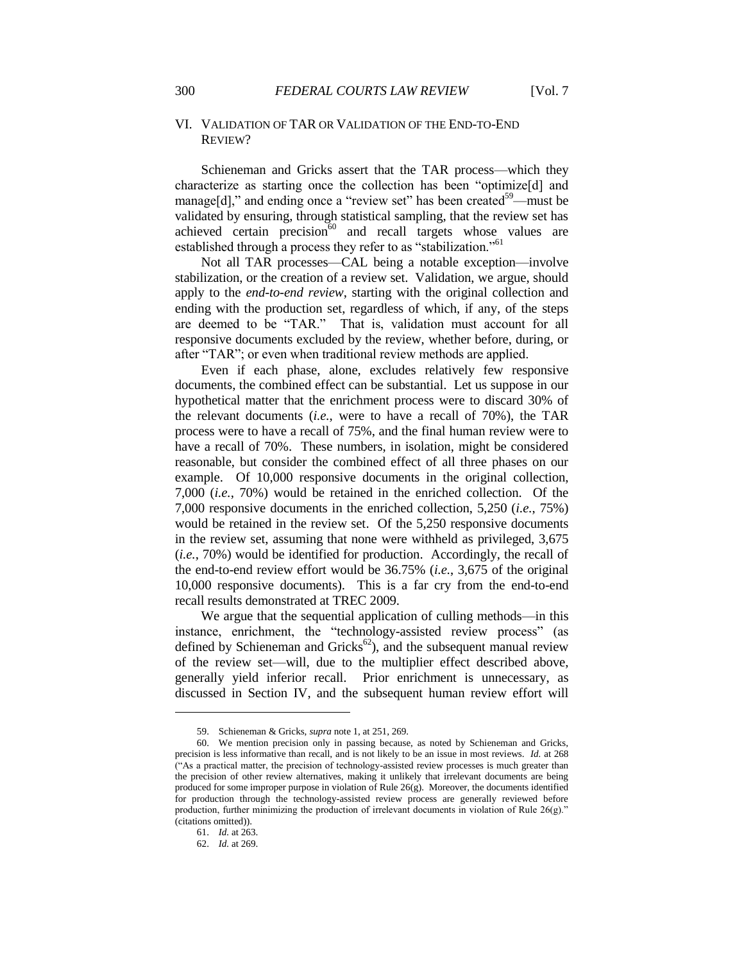## VI. VALIDATION OF TAR OR VALIDATION OF THE END-TO-END REVIEW?

Schieneman and Gricks assert that the TAR process—which they characterize as starting once the collection has been "optimize[d] and manage[d]," and ending once a "review set" has been created<sup>59</sup>—must be validated by ensuring, through statistical sampling, that the review set has achieved certain precision $60$  and recall targets whose values are established through a process they refer to as "stabilization."<sup>61</sup>

Not all TAR processes—CAL being a notable exception—involve stabilization, or the creation of a review set. Validation, we argue, should apply to the *end-to-end review*, starting with the original collection and ending with the production set, regardless of which, if any, of the steps are deemed to be "TAR." That is, validation must account for all responsive documents excluded by the review, whether before, during, or after "TAR"; or even when traditional review methods are applied.

Even if each phase, alone, excludes relatively few responsive documents, the combined effect can be substantial. Let us suppose in our hypothetical matter that the enrichment process were to discard 30% of the relevant documents (*i.e.*, were to have a recall of 70%), the TAR process were to have a recall of 75%, and the final human review were to have a recall of 70%. These numbers, in isolation, might be considered reasonable, but consider the combined effect of all three phases on our example. Of 10,000 responsive documents in the original collection, 7,000 (*i.e.*, 70%) would be retained in the enriched collection. Of the 7,000 responsive documents in the enriched collection, 5,250 (*i.e.*, 75%) would be retained in the review set. Of the 5,250 responsive documents in the review set, assuming that none were withheld as privileged, 3,675 (*i.e.*, 70%) would be identified for production. Accordingly, the recall of the end-to-end review effort would be 36.75% (*i.e.*, 3,675 of the original 10,000 responsive documents). This is a far cry from the end-to-end recall results demonstrated at TREC 2009.

We argue that the sequential application of culling methods—in this instance, enrichment, the "technology-assisted review process" (as defined by Schieneman and Gricks<sup>62</sup>), and the subsequent manual review of the review set—will, due to the multiplier effect described above, generally yield inferior recall. Prior enrichment is unnecessary, as discussed in Section IV, and the subsequent human review effort will

<sup>59.</sup> Schieneman & Gricks, *supra* note 1, at 251, 269.

<sup>60.</sup> We mention precision only in passing because, as noted by Schieneman and Gricks, precision is less informative than recall, and is not likely to be an issue in most reviews. *Id.* at 268 ("As a practical matter, the precision of technology-assisted review processes is much greater than the precision of other review alternatives, making it unlikely that irrelevant documents are being produced for some improper purpose in violation of Rule 26(g). Moreover, the documents identified for production through the technology-assisted review process are generally reviewed before production, further minimizing the production of irrelevant documents in violation of Rule 26(g)." (citations omitted)).

<sup>61.</sup> *Id.* at 263.

<sup>62.</sup> *Id.* at 269.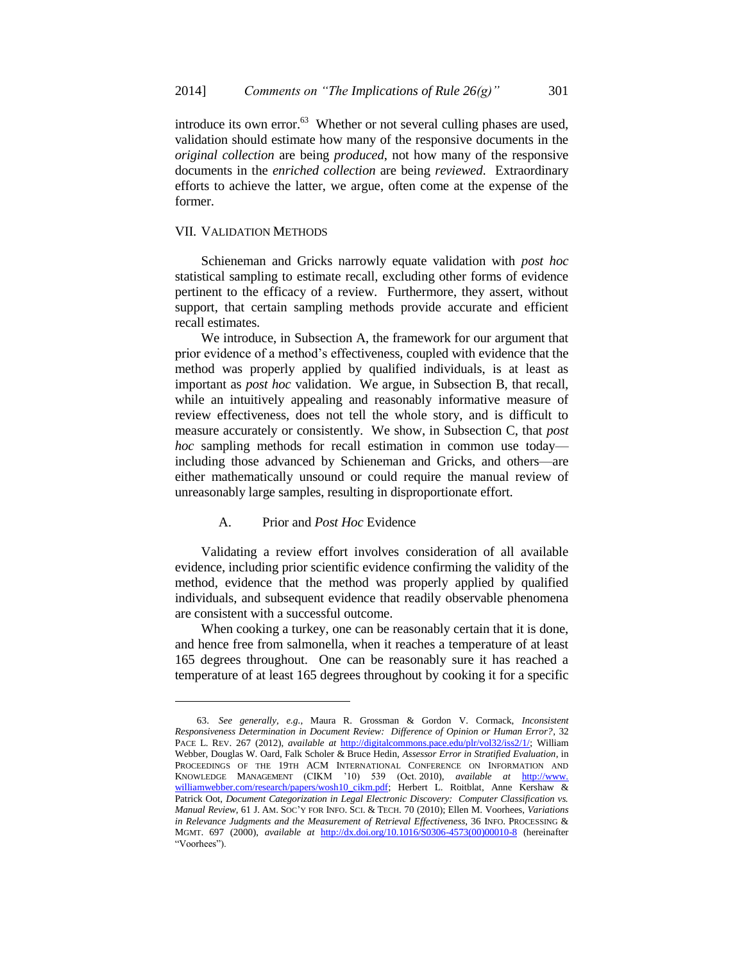introduce its own error. $63$  Whether or not several culling phases are used, validation should estimate how many of the responsive documents in the *original collection* are being *produced*, not how many of the responsive documents in the *enriched collection* are being *reviewed*. Extraordinary efforts to achieve the latter, we argue, often come at the expense of the former.

#### VII. VALIDATION METHODS

l

Schieneman and Gricks narrowly equate validation with *post hoc* statistical sampling to estimate recall, excluding other forms of evidence pertinent to the efficacy of a review. Furthermore, they assert, without support, that certain sampling methods provide accurate and efficient recall estimates.

We introduce, in Subsection A, the framework for our argument that prior evidence of a method's effectiveness, coupled with evidence that the method was properly applied by qualified individuals, is at least as important as *post hoc* validation. We argue, in Subsection B, that recall, while an intuitively appealing and reasonably informative measure of review effectiveness, does not tell the whole story, and is difficult to measure accurately or consistently. We show, in Subsection C, that *post hoc* sampling methods for recall estimation in common use today including those advanced by Schieneman and Gricks, and others—are either mathematically unsound or could require the manual review of unreasonably large samples, resulting in disproportionate effort.

## A. Prior and *Post Hoc* Evidence

Validating a review effort involves consideration of all available evidence, including prior scientific evidence confirming the validity of the method, evidence that the method was properly applied by qualified individuals, and subsequent evidence that readily observable phenomena are consistent with a successful outcome.

When cooking a turkey, one can be reasonably certain that it is done, and hence free from salmonella, when it reaches a temperature of at least 165 degrees throughout. One can be reasonably sure it has reached a temperature of at least 165 degrees throughout by cooking it for a specific

<sup>63.</sup> *See generally, e.g.*, Maura R. Grossman & Gordon V. Cormack, *Inconsistent Responsiveness Determination in Document Review: Difference of Opinion or Human Error?*, 32 PACE L. REV. 267 (2012), *available at* [http://digitalcommons.pace.edu/plr/vol32/iss2/1/;](http://digitalcommons.pace.edu/plr/vol32/iss2/1/) William Webber, Douglas W. Oard, Falk Scholer & Bruce Hedin, *Assessor Error in Stratified Evaluation*, in PROCEEDINGS OF THE 19TH ACM INTERNATIONAL CONFERENCE ON INFORMATION AND KNOWLEDGE MANAGEMENT (CIKM '10) 539 (Oct. 2010), *available at* [http://www.](http://www.williamwebber.com/research/papers/wosh10_cikm.pdf) [williamwebber.com/research/papers/wosh10\\_cikm.pdf;](http://www.williamwebber.com/research/papers/wosh10_cikm.pdf) Herbert L. Roitblat, Anne Kershaw & Patrick Oot, *Document Categorization in Legal Electronic Discovery: Computer Classification vs. Manual Review*, 61 J. AM. SOC'Y FOR INFO. SCI. & TECH. 70 (2010); Ellen M. Voorhees, *Variations in Relevance Judgments and the Measurement of Retrieval Effectiveness*, 36 INFO. PROCESSING & MGMT. 697 (2000), *available at* [http://dx.doi.org/10.1016/S0306-4573\(00\)00010-8](http://dx.doi.org/10.1016/S0306-4573(00)00010-8) (hereinafter "Voorhees").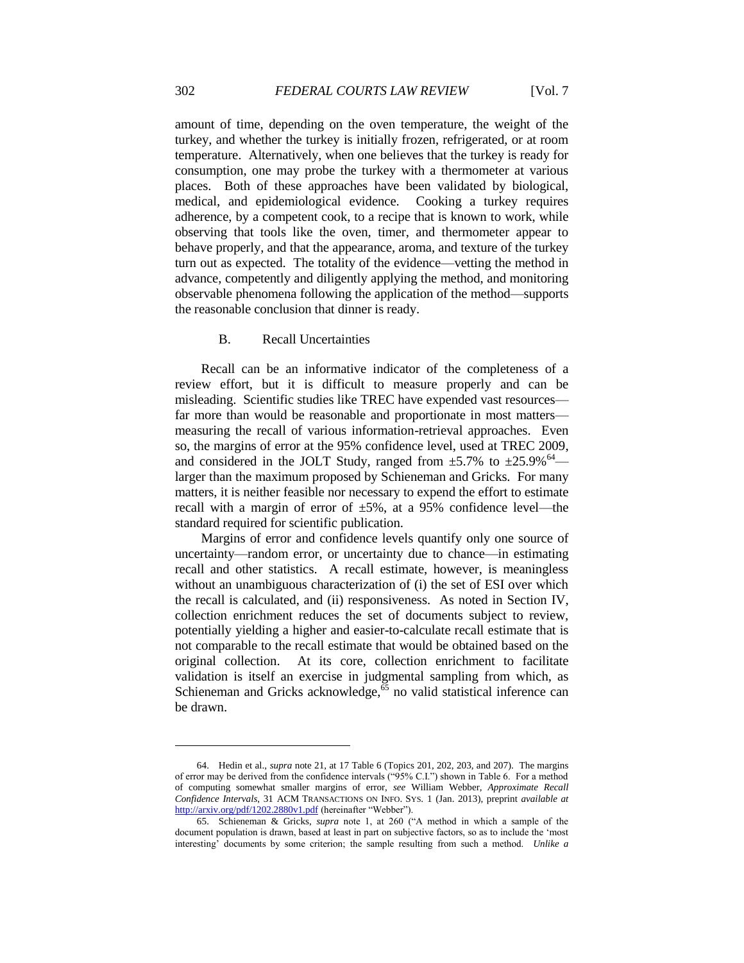amount of time, depending on the oven temperature, the weight of the turkey, and whether the turkey is initially frozen, refrigerated, or at room temperature. Alternatively, when one believes that the turkey is ready for consumption, one may probe the turkey with a thermometer at various places. Both of these approaches have been validated by biological, medical, and epidemiological evidence. Cooking a turkey requires adherence, by a competent cook, to a recipe that is known to work, while observing that tools like the oven, timer, and thermometer appear to behave properly, and that the appearance, aroma, and texture of the turkey turn out as expected. The totality of the evidence—vetting the method in advance, competently and diligently applying the method, and monitoring observable phenomena following the application of the method—supports the reasonable conclusion that dinner is ready.

## B. Recall Uncertainties

Recall can be an informative indicator of the completeness of a review effort, but it is difficult to measure properly and can be misleading. Scientific studies like TREC have expended vast resources far more than would be reasonable and proportionate in most matters measuring the recall of various information-retrieval approaches. Even so, the margins of error at the 95% confidence level, used at TREC 2009, and considered in the JOLT Study, ranged from  $\pm$ 5.7% to  $\pm$ 25.9%<sup>64</sup> larger than the maximum proposed by Schieneman and Gricks. For many matters, it is neither feasible nor necessary to expend the effort to estimate recall with a margin of error of  $\pm 5\%$ , at a 95% confidence level—the standard required for scientific publication.

Margins of error and confidence levels quantify only one source of uncertainty—random error, or uncertainty due to chance—in estimating recall and other statistics. A recall estimate, however, is meaningless without an unambiguous characterization of (i) the set of ESI over which the recall is calculated, and (ii) responsiveness. As noted in Section IV, collection enrichment reduces the set of documents subject to review, potentially yielding a higher and easier-to-calculate recall estimate that is not comparable to the recall estimate that would be obtained based on the original collection. At its core, collection enrichment to facilitate validation is itself an exercise in judgmental sampling from which, as Schieneman and Gricks acknowledge, $\frac{65}{65}$  no valid statistical inference can be drawn.

<sup>64.</sup> Hedin et al., *supra* note 21, at 17 Table 6 (Topics 201, 202, 203, and 207). The margins of error may be derived from the confidence intervals ("95% C.I.") shown in Table 6. For a method of computing somewhat smaller margins of error, *see* William Webber, *Approximate Recall Confidence Intervals*, 31 ACM TRANSACTIONS ON INFO. SYS. 1 (Jan. 2013), preprint *available at* <http://arxiv.org/pdf/1202.2880v1.pdf> (hereinafter "Webber").

<sup>65.</sup> Schieneman & Gricks, *supra* note 1, at 260 ("A method in which a sample of the document population is drawn, based at least in part on subjective factors, so as to include the 'most interesting' documents by some criterion; the sample resulting from such a method. *Unlike a*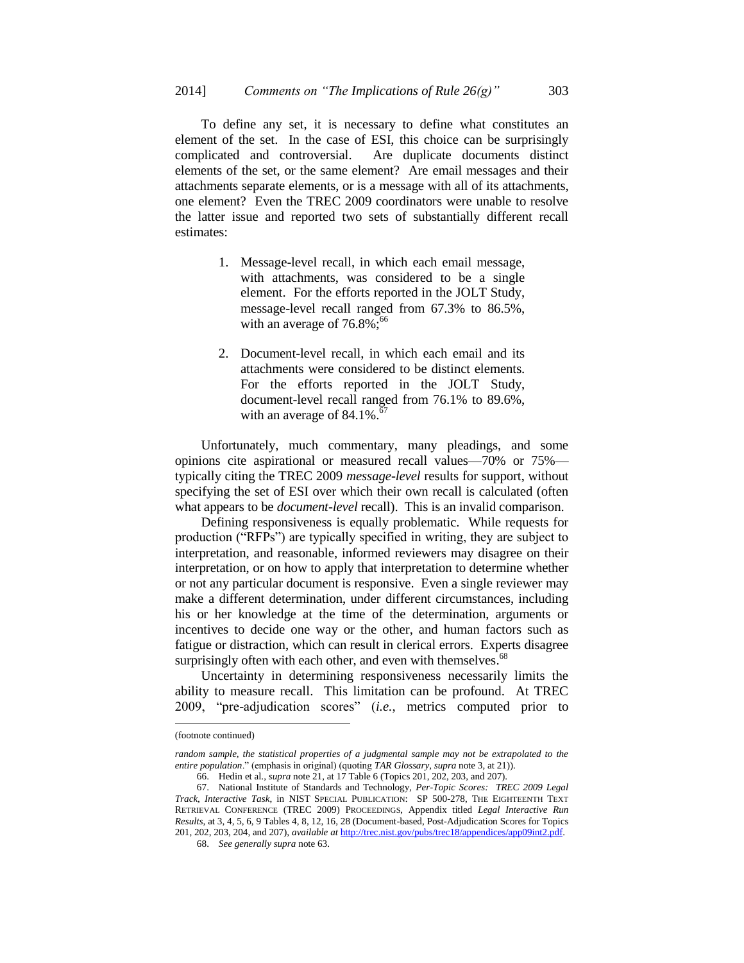To define any set, it is necessary to define what constitutes an element of the set. In the case of ESI, this choice can be surprisingly complicated and controversial. Are duplicate documents distinct elements of the set, or the same element? Are email messages and their attachments separate elements, or is a message with all of its attachments, one element? Even the TREC 2009 coordinators were unable to resolve the latter issue and reported two sets of substantially different recall estimates:

- 1. Message-level recall, in which each email message, with attachments, was considered to be a single element. For the efforts reported in the JOLT Study, message-level recall ranged from 67.3% to 86.5%, with an average of  $76.8\%$ ;<sup>66</sup>
- 2. Document-level recall, in which each email and its attachments were considered to be distinct elements. For the efforts reported in the JOLT Study, document-level recall ranged from 76.1% to 89.6%, with an average of  $84.1\%$ .<sup>67</sup>

Unfortunately, much commentary, many pleadings, and some opinions cite aspirational or measured recall values—70% or 75% typically citing the TREC 2009 *message-level* results for support, without specifying the set of ESI over which their own recall is calculated (often what appears to be *document-level* recall). This is an invalid comparison.

Defining responsiveness is equally problematic. While requests for production ("RFPs") are typically specified in writing, they are subject to interpretation, and reasonable, informed reviewers may disagree on their interpretation, or on how to apply that interpretation to determine whether or not any particular document is responsive. Even a single reviewer may make a different determination, under different circumstances, including his or her knowledge at the time of the determination, arguments or incentives to decide one way or the other, and human factors such as fatigue or distraction, which can result in clerical errors. Experts disagree surprisingly often with each other, and even with themselves. $68$ 

Uncertainty in determining responsiveness necessarily limits the ability to measure recall. This limitation can be profound. At TREC 2009, "pre-adjudication scores" (*i.e.*, metrics computed prior to

<sup>(</sup>footnote continued)

random sample, the statistical properties of a judgmental sample may not be extrapolated to the *entire population*." (emphasis in original) (quoting *TAR Glossary*, *supra* note 3, at 21)).

<sup>66.</sup> Hedin et al., *supra* note 21, at 17 Table 6 (Topics 201, 202, 203, and 207).

<sup>67.</sup> National Institute of Standards and Technology, *Per-Topic Scores: TREC 2009 Legal Track, Interactive Task*, in NIST SPECIAL PUBLICATION: SP 500-278, THE EIGHTEENTH TEXT RETRIEVAL CONFERENCE (TREC 2009) PROCEEDINGS, Appendix titled *Legal Interactive Run Results*, at 3, 4, 5, 6, 9 Tables 4, 8, 12, 16, 28 (Document-based, Post-Adjudication Scores for Topics 201, 202, 203, 204, and 207), *available at* [http://trec.nist.gov/pubs/trec18/appendices/app09int2.pdf.](http://trec.nist.gov/pubs/trec18/appendices/app09int2.pdf)

<sup>68.</sup> *See generally supra* note 63.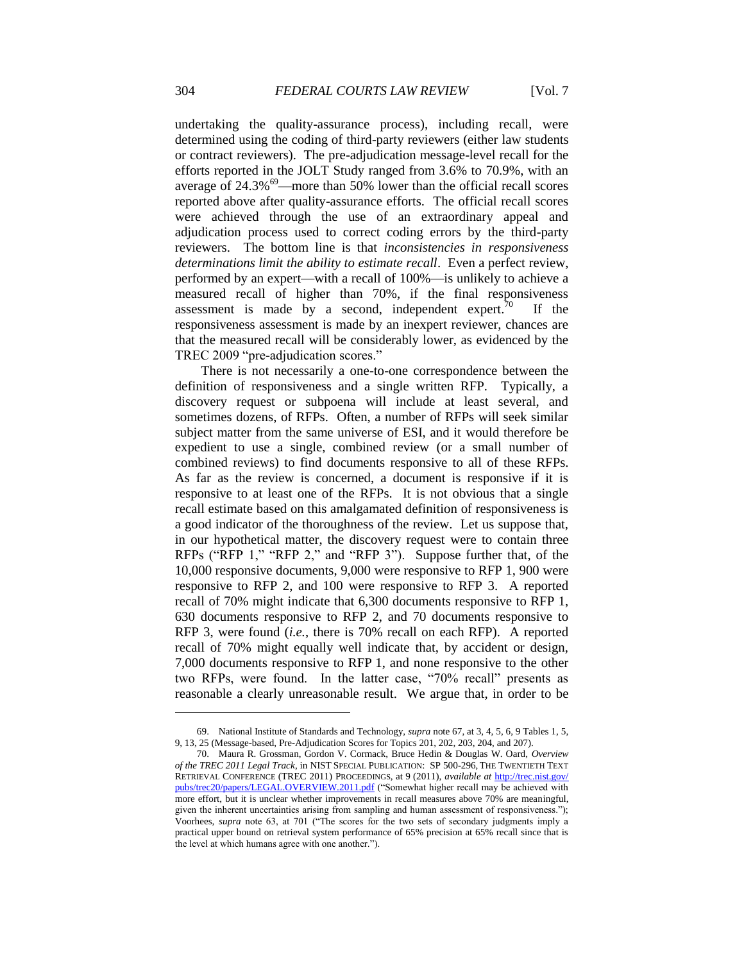undertaking the quality-assurance process), including recall, were determined using the coding of third-party reviewers (either law students or contract reviewers). The pre-adjudication message-level recall for the efforts reported in the JOLT Study ranged from 3.6% to 70.9%, with an average of  $24.3\%$ <sup>69</sup>—more than 50% lower than the official recall scores reported above after quality-assurance efforts. The official recall scores were achieved through the use of an extraordinary appeal and adjudication process used to correct coding errors by the third-party reviewers. The bottom line is that *inconsistencies in responsiveness determinations limit the ability to estimate recall*. Even a perfect review, performed by an expert—with a recall of 100%—is unlikely to achieve a measured recall of higher than 70%, if the final responsiveness assessment is made by a second, independent expert.<sup>70</sup> If the responsiveness assessment is made by an inexpert reviewer, chances are that the measured recall will be considerably lower, as evidenced by the TREC 2009 "pre-adjudication scores."

There is not necessarily a one-to-one correspondence between the definition of responsiveness and a single written RFP. Typically, a discovery request or subpoena will include at least several, and sometimes dozens, of RFPs. Often, a number of RFPs will seek similar subject matter from the same universe of ESI, and it would therefore be expedient to use a single, combined review (or a small number of combined reviews) to find documents responsive to all of these RFPs. As far as the review is concerned, a document is responsive if it is responsive to at least one of the RFPs. It is not obvious that a single recall estimate based on this amalgamated definition of responsiveness is a good indicator of the thoroughness of the review. Let us suppose that, in our hypothetical matter, the discovery request were to contain three RFPs ("RFP 1," "RFP 2," and "RFP 3"). Suppose further that, of the 10,000 responsive documents, 9,000 were responsive to RFP 1, 900 were responsive to RFP 2, and 100 were responsive to RFP 3. A reported recall of 70% might indicate that 6,300 documents responsive to RFP 1, 630 documents responsive to RFP 2, and 70 documents responsive to RFP 3, were found (*i.e.*, there is 70% recall on each RFP). A reported recall of 70% might equally well indicate that, by accident or design, 7,000 documents responsive to RFP 1, and none responsive to the other two RFPs, were found. In the latter case, "70% recall" presents as reasonable a clearly unreasonable result. We argue that, in order to be

<sup>69.</sup> National Institute of Standards and Technology, *supra* note 67, at 3, 4, 5, 6, 9 Tables 1, 5, 9, 13, 25 (Message-based, Pre-Adjudication Scores for Topics 201, 202, 203, 204, and 207).

<sup>70.</sup> Maura R. Grossman, Gordon V. Cormack, Bruce Hedin & Douglas W. Oard, *Overview of the TREC 2011 Legal Track*, in NIST SPECIAL PUBLICATION: SP 500-296, THE TWENTIETH TEXT RETRIEVAL CONFERENCE (TREC 2011) PROCEEDINGS, at 9 (2011), *available at* [http://trec.nist.gov/](http://trec.nist.gov/pubs/trec20/papers/LEGAL.OVERVIEW.2011.pdf) [pubs/trec20/papers/LEGAL.OVERVIEW.2011.pdf](http://trec.nist.gov/pubs/trec20/papers/LEGAL.OVERVIEW.2011.pdf) ("Somewhat higher recall may be achieved with more effort, but it is unclear whether improvements in recall measures above 70% are meaningful, given the inherent uncertainties arising from sampling and human assessment of responsiveness."); Voorhees, *supra* note 63, at 701 ("The scores for the two sets of secondary judgments imply a practical upper bound on retrieval system performance of 65% precision at 65% recall since that is the level at which humans agree with one another.").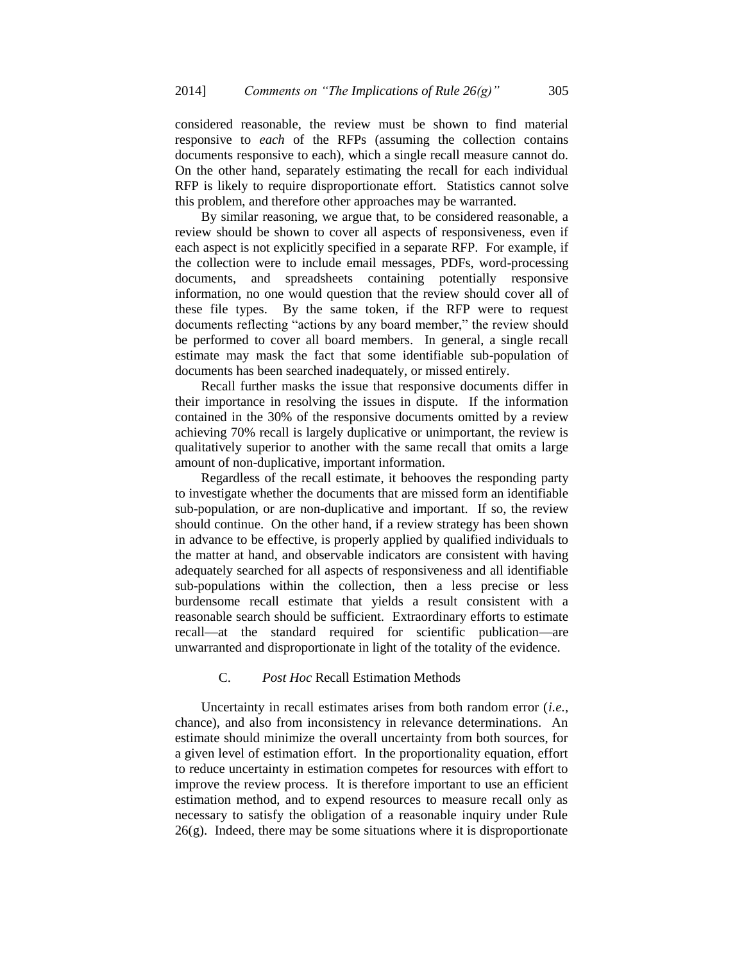considered reasonable, the review must be shown to find material responsive to *each* of the RFPs (assuming the collection contains documents responsive to each), which a single recall measure cannot do. On the other hand, separately estimating the recall for each individual RFP is likely to require disproportionate effort. Statistics cannot solve this problem, and therefore other approaches may be warranted.

By similar reasoning, we argue that, to be considered reasonable, a review should be shown to cover all aspects of responsiveness, even if each aspect is not explicitly specified in a separate RFP. For example, if the collection were to include email messages, PDFs, word-processing documents, and spreadsheets containing potentially responsive information, no one would question that the review should cover all of these file types. By the same token, if the RFP were to request documents reflecting "actions by any board member," the review should be performed to cover all board members. In general, a single recall estimate may mask the fact that some identifiable sub-population of documents has been searched inadequately, or missed entirely.

Recall further masks the issue that responsive documents differ in their importance in resolving the issues in dispute. If the information contained in the 30% of the responsive documents omitted by a review achieving 70% recall is largely duplicative or unimportant, the review is qualitatively superior to another with the same recall that omits a large amount of non-duplicative, important information.

Regardless of the recall estimate, it behooves the responding party to investigate whether the documents that are missed form an identifiable sub-population, or are non-duplicative and important. If so, the review should continue. On the other hand, if a review strategy has been shown in advance to be effective, is properly applied by qualified individuals to the matter at hand, and observable indicators are consistent with having adequately searched for all aspects of responsiveness and all identifiable sub-populations within the collection, then a less precise or less burdensome recall estimate that yields a result consistent with a reasonable search should be sufficient. Extraordinary efforts to estimate recall—at the standard required for scientific publication—are unwarranted and disproportionate in light of the totality of the evidence.

#### C. *Post Hoc* Recall Estimation Methods

Uncertainty in recall estimates arises from both random error (*i.e.*, chance), and also from inconsistency in relevance determinations. An estimate should minimize the overall uncertainty from both sources, for a given level of estimation effort. In the proportionality equation, effort to reduce uncertainty in estimation competes for resources with effort to improve the review process. It is therefore important to use an efficient estimation method, and to expend resources to measure recall only as necessary to satisfy the obligation of a reasonable inquiry under Rule  $26(g)$ . Indeed, there may be some situations where it is disproportionate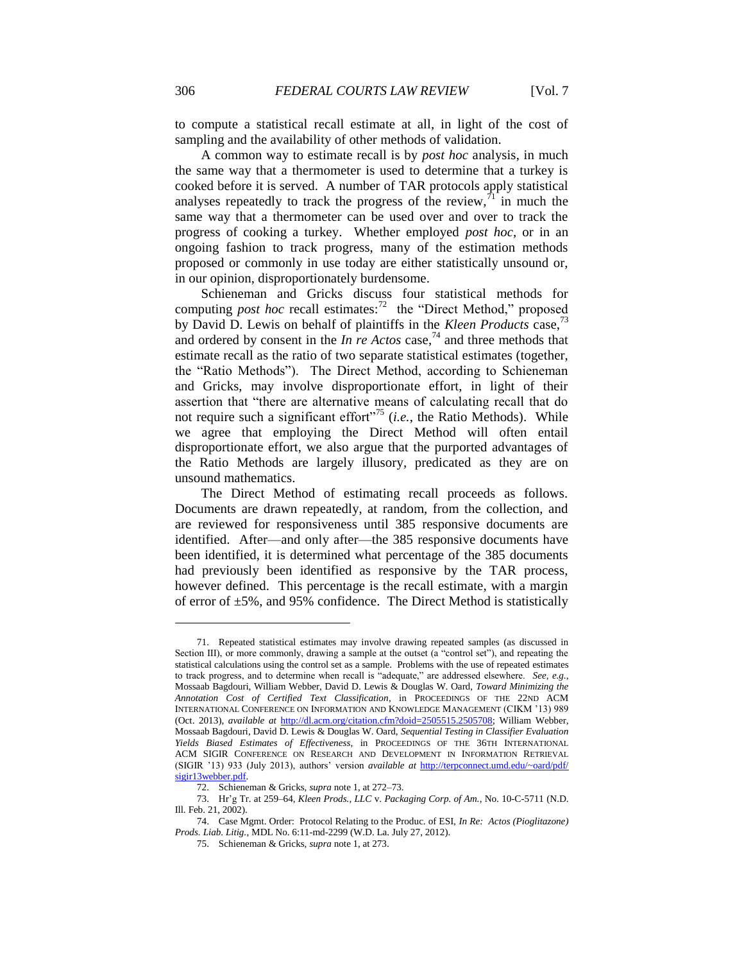to compute a statistical recall estimate at all, in light of the cost of sampling and the availability of other methods of validation.

A common way to estimate recall is by *post hoc* analysis, in much the same way that a thermometer is used to determine that a turkey is cooked before it is served. A number of TAR protocols apply statistical analyses repeatedly to track the progress of the review,  $\frac{1}{1}$  in much the same way that a thermometer can be used over and over to track the progress of cooking a turkey. Whether employed *post hoc*, or in an ongoing fashion to track progress, many of the estimation methods proposed or commonly in use today are either statistically unsound or, in our opinion, disproportionately burdensome.

Schieneman and Gricks discuss four statistical methods for computing *post hoc* recall estimates:<sup>72</sup> the "Direct Method," proposed by David D. Lewis on behalf of plaintiffs in the *Kleen Products* case,<sup>73</sup> and ordered by consent in the *In re Actos* case,<sup>74</sup> and three methods that estimate recall as the ratio of two separate statistical estimates (together, the "Ratio Methods"). The Direct Method, according to Schieneman and Gricks, may involve disproportionate effort, in light of their assertion that "there are alternative means of calculating recall that do not require such a significant effort<sup>"75</sup> (*i.e.*, the Ratio Methods). While we agree that employing the Direct Method will often entail disproportionate effort, we also argue that the purported advantages of the Ratio Methods are largely illusory, predicated as they are on unsound mathematics.

The Direct Method of estimating recall proceeds as follows. Documents are drawn repeatedly, at random, from the collection, and are reviewed for responsiveness until 385 responsive documents are identified. After—and only after—the 385 responsive documents have been identified, it is determined what percentage of the 385 documents had previously been identified as responsive by the TAR process, however defined. This percentage is the recall estimate, with a margin of error of  $\pm 5\%$ , and 95% confidence. The Direct Method is statistically

<sup>71.</sup> Repeated statistical estimates may involve drawing repeated samples (as discussed in Section III), or more commonly, drawing a sample at the outset (a "control set"), and repeating the statistical calculations using the control set as a sample. Problems with the use of repeated estimates to track progress, and to determine when recall is "adequate," are addressed elsewhere. *See*, *e.g.*, Mossaab Bagdouri, William Webber, David D. Lewis & Douglas W. Oard, *Toward Minimizing the Annotation Cost of Certified Text Classification*, in PROCEEDINGS OF THE 22ND ACM INTERNATIONAL CONFERENCE ON INFORMATION AND KNOWLEDGE MANAGEMENT (CIKM '13) 989 (Oct. 2013), *available at* [http://dl.acm.org/citation.cfm?doid=2505515.2505708;](http://dl.acm.org/citation.cfm?doid=2505515.2505708) William Webber, Mossaab Bagdouri, David D. Lewis & Douglas W. Oard, *Sequential Testing in Classifier Evaluation Yields Biased Estimates of Effectiveness*, in PROCEEDINGS OF THE 36TH INTERNATIONAL ACM SIGIR CONFERENCE ON RESEARCH AND DEVELOPMENT IN INFORMATION RETRIEVAL (SIGIR '13) 933 (July 2013), authors' version *available at* [http://terpconnect.umd.edu/~oard/pdf/](http://terpconnect.umd.edu/~oard/pdf/sigir13webber.pdf)  [sigir13webber.pdf.](http://terpconnect.umd.edu/~oard/pdf/sigir13webber.pdf)

<sup>72.</sup> Schieneman & Gricks, *supra* note 1, at 272–73.

<sup>73.</sup> Hr'g Tr. at 259–64, *Kleen Prods., LLC* v. *Packaging Corp. of Am.*, No. 10-C-5711 (N.D. Ill. Feb. 21, 2002).

<sup>74.</sup> Case Mgmt. Order: Protocol Relating to the Produc. of ESI, *In Re: Actos (Pioglitazone) Prods. Liab. Litig.*, MDL No. 6:11-md-2299 (W.D. La. July 27, 2012).

<sup>75.</sup> Schieneman & Gricks, *supra* note 1, at 273.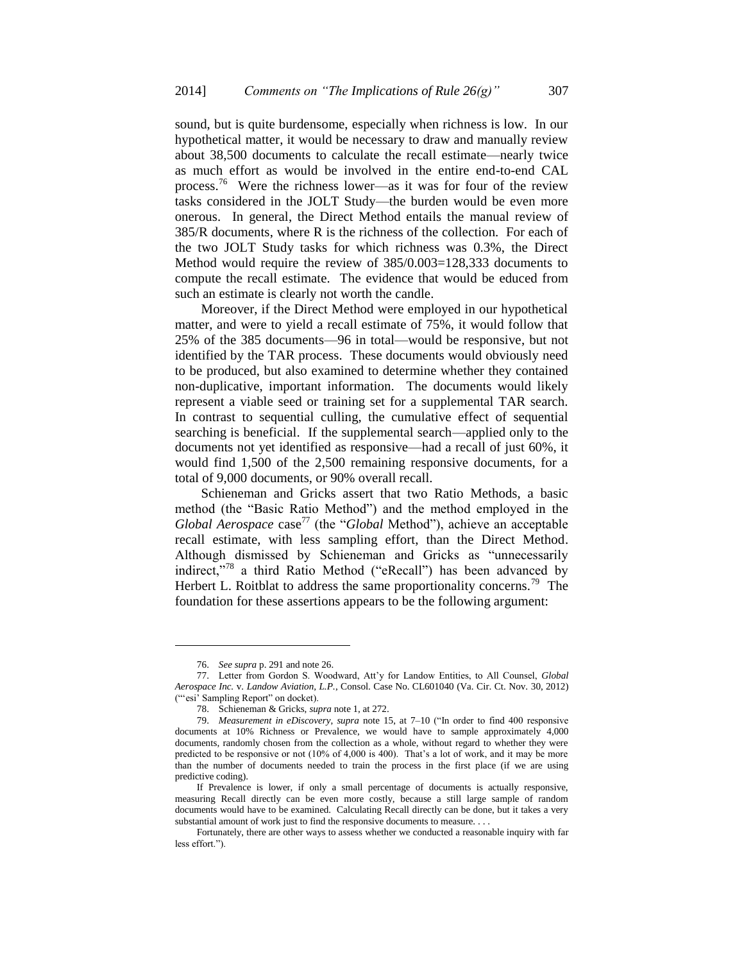sound, but is quite burdensome, especially when richness is low. In our hypothetical matter, it would be necessary to draw and manually review about 38,500 documents to calculate the recall estimate—nearly twice as much effort as would be involved in the entire end-to-end CAL process.<sup>76</sup> Were the richness lower—as it was for four of the review tasks considered in the JOLT Study—the burden would be even more onerous. In general, the Direct Method entails the manual review of 385/R documents, where R is the richness of the collection. For each of the two JOLT Study tasks for which richness was 0.3%, the Direct Method would require the review of 385/0.003=128,333 documents to compute the recall estimate. The evidence that would be educed from such an estimate is clearly not worth the candle.

Moreover, if the Direct Method were employed in our hypothetical matter, and were to yield a recall estimate of 75%, it would follow that 25% of the 385 documents—96 in total—would be responsive, but not identified by the TAR process. These documents would obviously need to be produced, but also examined to determine whether they contained non-duplicative, important information. The documents would likely represent a viable seed or training set for a supplemental TAR search. In contrast to sequential culling, the cumulative effect of sequential searching is beneficial. If the supplemental search—applied only to the documents not yet identified as responsive—had a recall of just 60%, it would find 1,500 of the 2,500 remaining responsive documents, for a total of 9,000 documents, or 90% overall recall.

Schieneman and Gricks assert that two Ratio Methods, a basic method (the "Basic Ratio Method") and the method employed in the *Global Aerospace* case<sup>77</sup> (the "*Global* Method"), achieve an acceptable recall estimate, with less sampling effort, than the Direct Method. Although dismissed by Schieneman and Gricks as "unnecessarily indirect,"<sup>78</sup> a third Ratio Method ("eRecall") has been advanced by Herbert L. Roitblat to address the same proportionality concerns.<sup>79</sup> The foundation for these assertions appears to be the following argument:

<sup>76.</sup> *See supra* p. 291 and note 26.

<sup>77.</sup> Letter from Gordon S. Woodward, Att'y for Landow Entities, to All Counsel, *Global Aerospace Inc.* v. *Landow Aviation, L.P.*, Consol. Case No. CL601040 (Va. Cir. Ct. Nov. 30, 2012) ("'esi' Sampling Report" on docket).

<sup>78.</sup> Schieneman & Gricks, *supra* note 1, at 272.

<sup>79.</sup> *Measurement in eDiscovery*, *supra* note 15, at 7–10 ("In order to find 400 responsive documents at 10% Richness or Prevalence, we would have to sample approximately 4,000 documents, randomly chosen from the collection as a whole, without regard to whether they were predicted to be responsive or not (10% of 4,000 is 400). That's a lot of work, and it may be more than the number of documents needed to train the process in the first place (if we are using predictive coding).

If Prevalence is lower, if only a small percentage of documents is actually responsive, measuring Recall directly can be even more costly, because a still large sample of random documents would have to be examined. Calculating Recall directly can be done, but it takes a very substantial amount of work just to find the responsive documents to measure. . . .

Fortunately, there are other ways to assess whether we conducted a reasonable inquiry with far less effort.").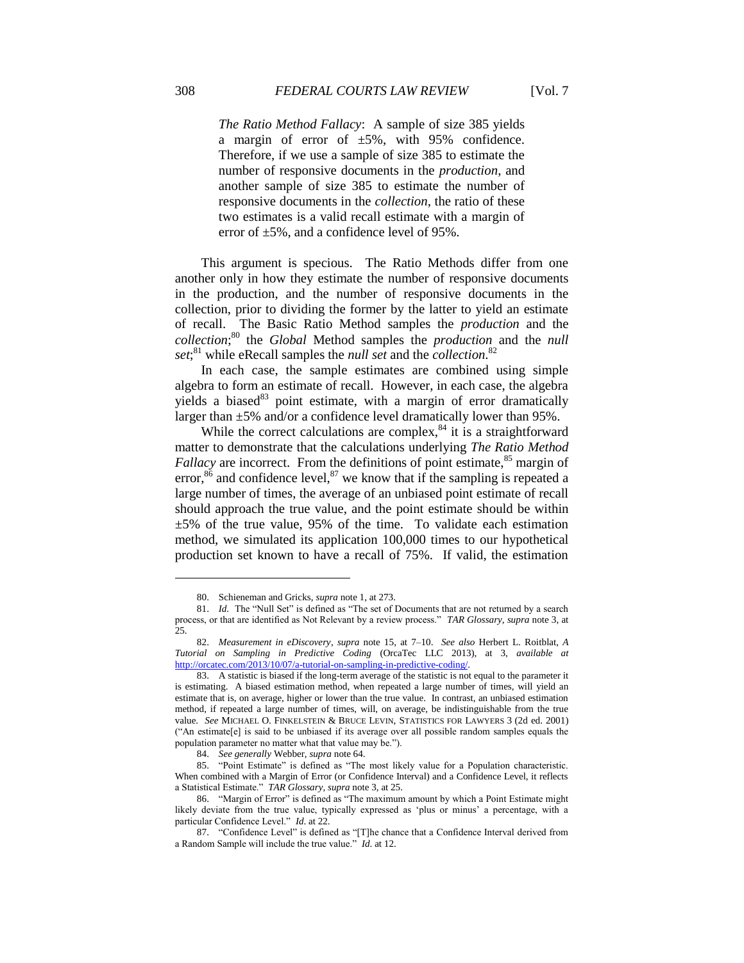*The Ratio Method Fallacy*: A sample of size 385 yields a margin of error of  $\pm 5\%$ , with 95% confidence. Therefore, if we use a sample of size 385 to estimate the number of responsive documents in the *production*, and another sample of size 385 to estimate the number of responsive documents in the *collection*, the ratio of these two estimates is a valid recall estimate with a margin of error of ±5%, and a confidence level of 95%.

This argument is specious. The Ratio Methods differ from one another only in how they estimate the number of responsive documents in the production, and the number of responsive documents in the collection, prior to dividing the former by the latter to yield an estimate of recall. The Basic Ratio Method samples the *production* and the *collection*; <sup>80</sup> the *Global* Method samples the *production* and the *null set*; <sup>81</sup> while eRecall samples the *null set* and the *collection*. 82

In each case, the sample estimates are combined using simple algebra to form an estimate of recall. However, in each case, the algebra yields a biased $^{83}$  point estimate, with a margin of error dramatically larger than  $\pm 5\%$  and/or a confidence level dramatically lower than 95%.

While the correct calculations are complex,  $84$  it is a straightforward matter to demonstrate that the calculations underlying *The Ratio Method Fallacy* are incorrect. From the definitions of point estimate,<sup>85</sup> margin of error,<sup>86</sup> and confidence level,<sup>87</sup> we know that if the sampling is repeated a large number of times, the average of an unbiased point estimate of recall should approach the true value, and the point estimate should be within  $\pm$ 5% of the true value, 95% of the time. To validate each estimation method, we simulated its application 100,000 times to our hypothetical production set known to have a recall of 75%. If valid, the estimation

<sup>80.</sup> Schieneman and Gricks, *supra* note 1, at 273.

<sup>81.</sup> *Id.* The "Null Set" is defined as "The set of Documents that are not returned by a search process, or that are identified as Not Relevant by a review process." *TAR Glossary*, *supra* note 3, at  $25$ 

<sup>82.</sup> *Measurement in eDiscovery*, *supra* note 15, at 7–10. *See also* Herbert L. Roitblat, *A Tutorial on Sampling in Predictive Coding* (OrcaTec LLC 2013), at 3, *available at* [http://orcatec.com/2013/10/07/a-tutorial-on-sampling-in-predictive-coding/.](http://orcatec.com/2013/10/07/a-tutorial-on-sampling-in-predictive-coding/)

<sup>83.</sup> A statistic is biased if the long-term average of the statistic is not equal to the parameter it is estimating. A biased estimation method, when repeated a large number of times, will yield an estimate that is, on average, higher or lower than the true value. In contrast, an unbiased estimation method, if repeated a large number of times, will, on average, be indistinguishable from the true value. *See* MICHAEL O. FINKELSTEIN & BRUCE LEVIN, STATISTICS FOR LAWYERS 3 (2d ed. 2001) ("An estimate[e] is said to be unbiased if its average over all possible random samples equals the population parameter no matter what that value may be.").

<sup>84.</sup> *See generally* Webber, *supra* note 64.

<sup>85.</sup> "Point Estimate" is defined as "The most likely value for a Population characteristic. When combined with a Margin of Error (or Confidence Interval) and a Confidence Level, it reflects a Statistical Estimate." *TAR Glossary*, *supra* note 3, at 25.

<sup>86.</sup> "Margin of Error" is defined as "The maximum amount by which a Point Estimate might likely deviate from the true value, typically expressed as 'plus or minus' a percentage, with a particular Confidence Level." *Id*. at 22.

<sup>87.</sup> "Confidence Level" is defined as "[T]he chance that a Confidence Interval derived from a Random Sample will include the true value." *Id*. at 12.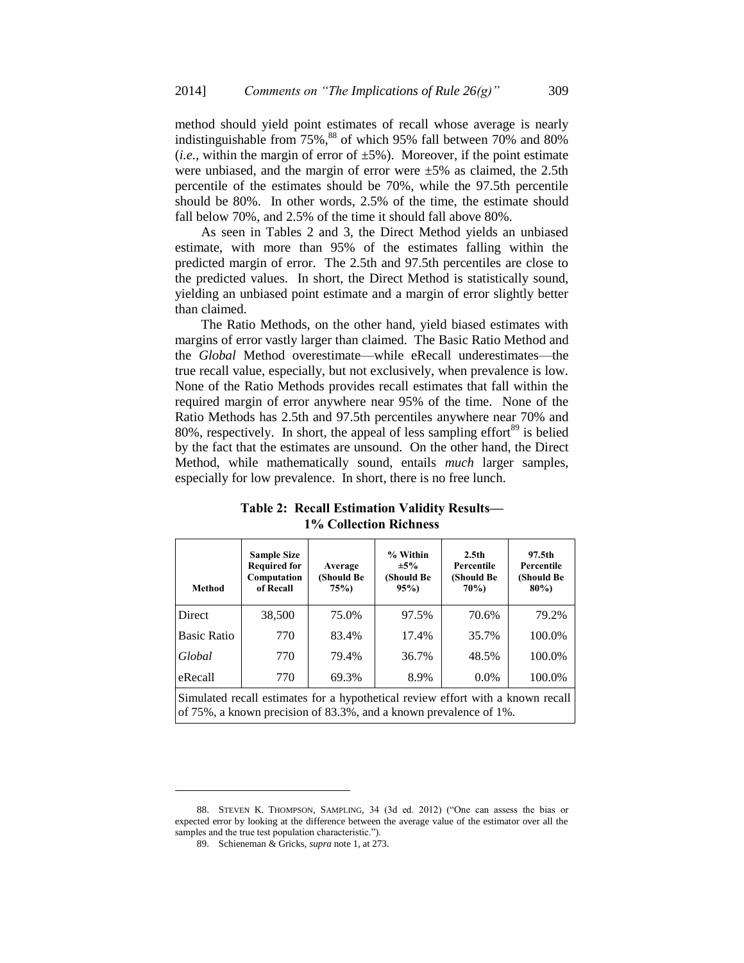method should yield point estimates of recall whose average is nearly indistinguishable from  $75\%$ ,<sup>88</sup> of which 95% fall between 70% and 80% (*i.e.*, within the margin of error of  $\pm 5\%$ ). Moreover, if the point estimate were unbiased, and the margin of error were  $\pm 5\%$  as claimed, the 2.5th percentile of the estimates should be 70%, while the 97.5th percentile should be 80%. In other words, 2.5% of the time, the estimate should fall below 70%, and 2.5% of the time it should fall above 80%.

As seen in Tables 2 and 3, the Direct Method yields an unbiased estimate, with more than 95% of the estimates falling within the predicted margin of error. The 2.5th and 97.5th percentiles are close to the predicted values. In short, the Direct Method is statistically sound, yielding an unbiased point estimate and a margin of error slightly better than claimed.

The Ratio Methods, on the other hand, yield biased estimates with margins of error vastly larger than claimed. The Basic Ratio Method and the *Global* Method overestimate—while eRecall underestimates—the true recall value, especially, but not exclusively, when prevalence is low. None of the Ratio Methods provides recall estimates that fall within the required margin of error anywhere near 95% of the time. None of the Ratio Methods has 2.5th and 97.5th percentiles anywhere near 70% and 80%, respectively. In short, the appeal of less sampling effort<sup>89</sup> is belied by the fact that the estimates are unsound. On the other hand, the Direct Method, while mathematically sound, entails *much* larger samples, especially for low prevalence. In short, there is no free lunch.

| <b>Method</b>                                                                   | <b>Sample Size</b><br><b>Required for</b><br>Computation<br>of Recall | Average<br>(Should Be<br>75% | % Within<br>$\pm 5\%$<br>(Should Be<br>95% | 2.5 <sub>th</sub><br>Percentile<br>(Should Be<br><b>70%)</b> | 97.5th<br>Percentile<br>(Should Be<br>$80\%$ |
|---------------------------------------------------------------------------------|-----------------------------------------------------------------------|------------------------------|--------------------------------------------|--------------------------------------------------------------|----------------------------------------------|
| <b>Direct</b>                                                                   | 38,500                                                                | 75.0%                        | 97.5%                                      | 70.6%                                                        | 79.2%                                        |
| <b>Basic Ratio</b>                                                              | 770                                                                   | 83.4%                        | 17.4%                                      | 35.7%                                                        | 100.0%                                       |
| Global                                                                          | 770                                                                   | 79.4%                        | 36.7%                                      | 48.5%                                                        | 100.0%                                       |
| eRecall                                                                         | 770                                                                   | 69.3%                        | 8.9%                                       | $0.0\%$                                                      | 100.0%                                       |
| Simulated recall estimates for a hypothetical review effort with a known recall |                                                                       |                              |                                            |                                                              |                                              |

**Table 2: Recall Estimation Validity Results— 1% Collection Richness**

of 75%, a known precision of 83.3%, and a known prevalence of 1%.

<sup>88.</sup> STEVEN K. THOMPSON, SAMPLING, 34 (3d ed. 2012) ("One can assess the bias or expected error by looking at the difference between the average value of the estimator over all the samples and the true test population characteristic.").

<sup>89.</sup> Schieneman & Gricks, *supra* note 1, at 273.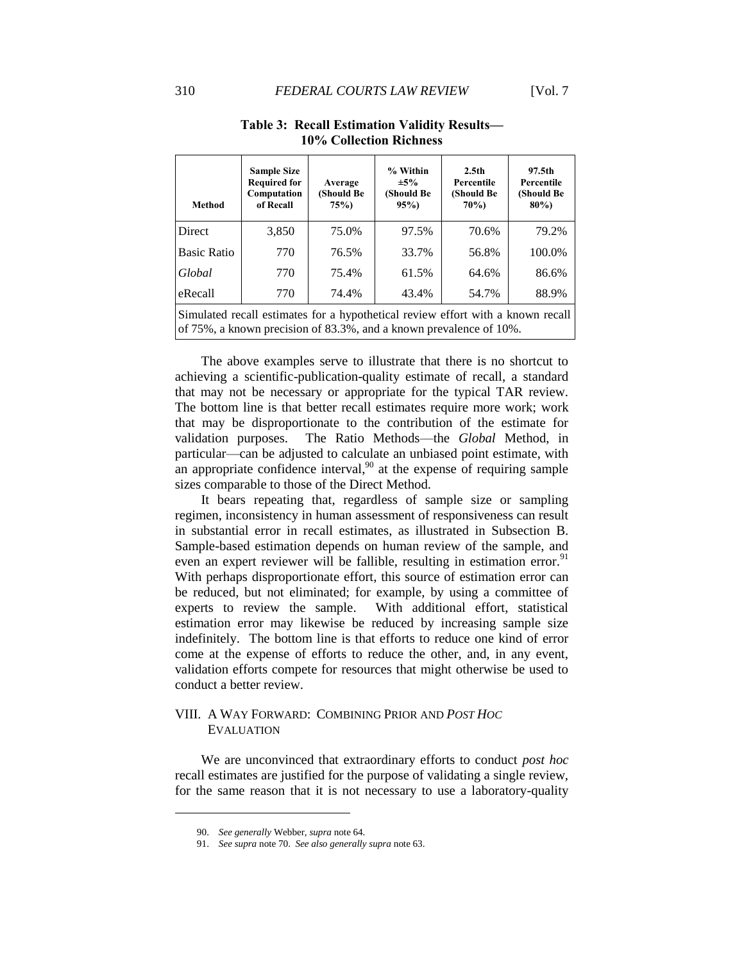| Method                                                                                                                                                | <b>Sample Size</b><br><b>Required for</b><br>Computation<br>of Recall | Average<br>(Should Be<br>75% | % Within<br>$\pm 5\%$<br>(Should Be<br>95% | 2.5 <sub>th</sub><br>Percentile<br>(Should Be<br>$70\%)$ | 97.5th<br>Percentile<br>(Should Be<br>$80\%$ |
|-------------------------------------------------------------------------------------------------------------------------------------------------------|-----------------------------------------------------------------------|------------------------------|--------------------------------------------|----------------------------------------------------------|----------------------------------------------|
| <b>Direct</b>                                                                                                                                         | 3,850                                                                 | 75.0%                        | 97.5%                                      | 70.6%                                                    | 79.2%                                        |
| <b>Basic Ratio</b>                                                                                                                                    | 770                                                                   | 76.5%                        | 33.7%                                      | 56.8%                                                    | 100.0%                                       |
| Global                                                                                                                                                | 770                                                                   | 75.4%                        | 61.5%                                      | 64.6%                                                    | 86.6%                                        |
| eRecall                                                                                                                                               | 770                                                                   | 74.4%                        | 43.4%                                      | 54.7%                                                    | 88.9%                                        |
| Simulated recall estimates for a hypothetical review effort with a known recall<br>of 75%, a known precision of 83.3%, and a known prevalence of 10%. |                                                                       |                              |                                            |                                                          |                                              |

## **Table 3: Recall Estimation Validity Results— 10% Collection Richness**

The above examples serve to illustrate that there is no shortcut to achieving a scientific-publication-quality estimate of recall, a standard that may not be necessary or appropriate for the typical TAR review. The bottom line is that better recall estimates require more work; work that may be disproportionate to the contribution of the estimate for validation purposes. The Ratio Methods—the *Global* Method, in particular—can be adjusted to calculate an unbiased point estimate, with an appropriate confidence interval, $90$  at the expense of requiring sample sizes comparable to those of the Direct Method.

It bears repeating that, regardless of sample size or sampling regimen, inconsistency in human assessment of responsiveness can result in substantial error in recall estimates, as illustrated in Subsection B. Sample-based estimation depends on human review of the sample, and even an expert reviewer will be fallible, resulting in estimation error.<sup>91</sup> With perhaps disproportionate effort, this source of estimation error can be reduced, but not eliminated; for example, by using a committee of experts to review the sample. With additional effort, statistical estimation error may likewise be reduced by increasing sample size indefinitely. The bottom line is that efforts to reduce one kind of error come at the expense of efforts to reduce the other, and, in any event, validation efforts compete for resources that might otherwise be used to conduct a better review.

# VIII. A WAY FORWARD: COMBINING PRIOR AND *POST HOC* EVALUATION

We are unconvinced that extraordinary efforts to conduct *post hoc* recall estimates are justified for the purpose of validating a single review, for the same reason that it is not necessary to use a laboratory-quality

<sup>90.</sup> *See generally* Webber, *supra* note 64.

<sup>91.</sup> *See supra* note 70. *See also generally supra* note 63.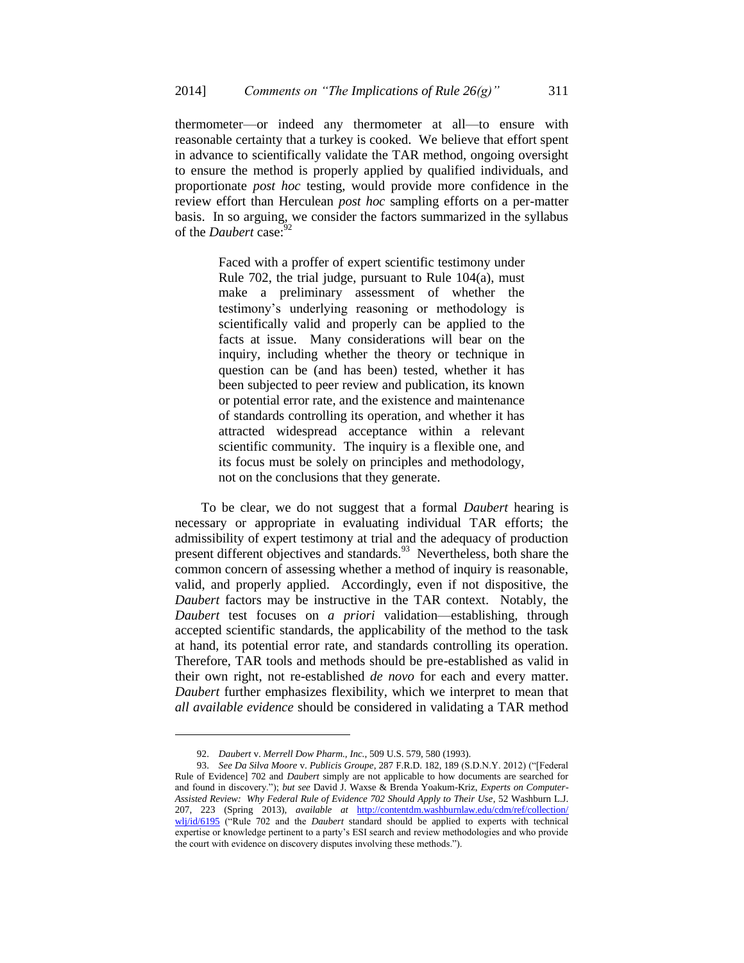thermometer—or indeed any thermometer at all—to ensure with reasonable certainty that a turkey is cooked. We believe that effort spent in advance to scientifically validate the TAR method, ongoing oversight to ensure the method is properly applied by qualified individuals, and proportionate *post hoc* testing, would provide more confidence in the review effort than Herculean *post hoc* sampling efforts on a per-matter basis. In so arguing, we consider the factors summarized in the syllabus of the *Daubert* case:<sup>92</sup>

> Faced with a proffer of expert scientific testimony under Rule 702, the trial judge, pursuant to Rule 104(a), must make a preliminary assessment of whether the testimony's underlying reasoning or methodology is scientifically valid and properly can be applied to the facts at issue. Many considerations will bear on the inquiry, including whether the theory or technique in question can be (and has been) tested, whether it has been subjected to peer review and publication, its known or potential error rate, and the existence and maintenance of standards controlling its operation, and whether it has attracted widespread acceptance within a relevant scientific community. The inquiry is a flexible one, and its focus must be solely on principles and methodology, not on the conclusions that they generate.

To be clear, we do not suggest that a formal *Daubert* hearing is necessary or appropriate in evaluating individual TAR efforts; the admissibility of expert testimony at trial and the adequacy of production present different objectives and standards.<sup>93</sup> Nevertheless, both share the common concern of assessing whether a method of inquiry is reasonable, valid, and properly applied. Accordingly, even if not dispositive, the *Daubert* factors may be instructive in the TAR context. Notably, the *Daubert* test focuses on *a priori* validation—establishing, through accepted scientific standards, the applicability of the method to the task at hand, its potential error rate, and standards controlling its operation. Therefore, TAR tools and methods should be pre-established as valid in their own right, not re-established *de novo* for each and every matter. *Daubert* further emphasizes flexibility, which we interpret to mean that *all available evidence* should be considered in validating a TAR method

<sup>92.</sup> *Daubert* v. *Merrell Dow Pharm., Inc.*, 509 U.S. 579, 580 (1993).

<sup>93.</sup> *See Da Silva Moore* v. *Publicis Groupe*, 287 F.R.D. 182, 189 (S.D.N.Y. 2012) ("[Federal Rule of Evidence] 702 and *Daubert* simply are not applicable to how documents are searched for and found in discovery."); *but see* David J. Waxse & Brenda Yoakum-Kriz, *Experts on Computer-Assisted Review: Why Federal Rule of Evidence 702 Should Apply to Their Use*, 52 Washburn L.J. 207, 223 (Spring 2013), *available at* [http://contentdm.washburnlaw.edu/cdm/ref/collection/](http://contentdm.washburnlaw.edu/cdm/ref/collection/wlj/id/6195) [wlj/id/6195](http://contentdm.washburnlaw.edu/cdm/ref/collection/wlj/id/6195) ("Rule 702 and the *Daubert* standard should be applied to experts with technical expertise or knowledge pertinent to a party's ESI search and review methodologies and who provide the court with evidence on discovery disputes involving these methods.").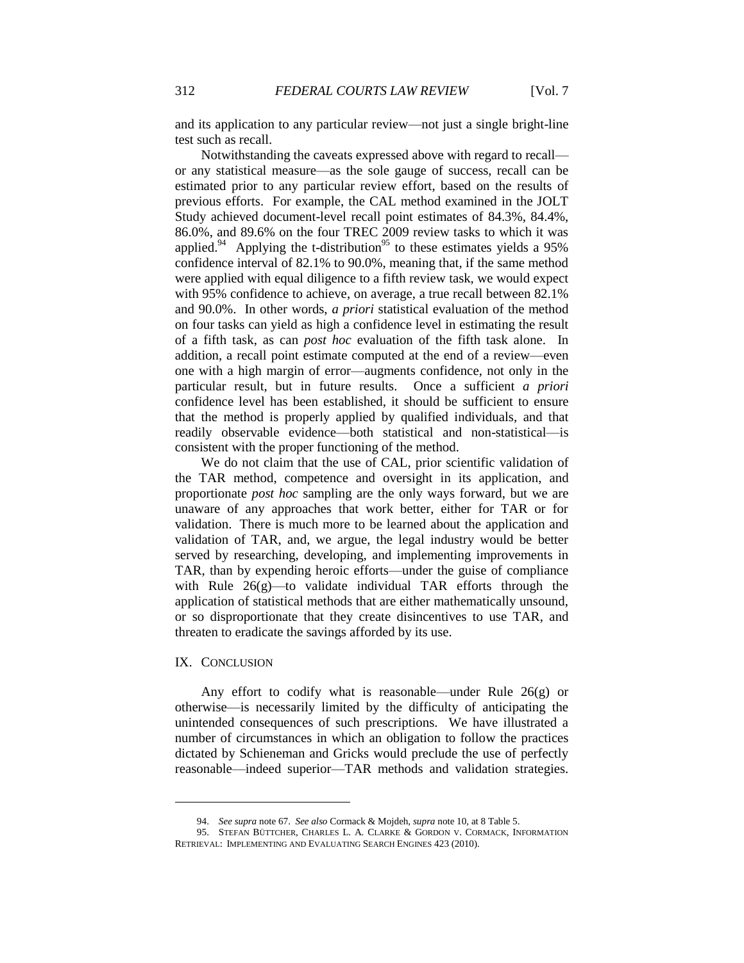and its application to any particular review—not just a single bright-line test such as recall.

Notwithstanding the caveats expressed above with regard to recall or any statistical measure—as the sole gauge of success, recall can be estimated prior to any particular review effort, based on the results of previous efforts. For example, the CAL method examined in the JOLT Study achieved document-level recall point estimates of 84.3%, 84.4%, 86.0%, and 89.6% on the four TREC 2009 review tasks to which it was applied.<sup>94</sup> Applying the t-distribution<sup>95</sup> to these estimates yields a 95% confidence interval of 82.1% to 90.0%, meaning that, if the same method were applied with equal diligence to a fifth review task, we would expect with 95% confidence to achieve, on average, a true recall between 82.1% and 90.0%. In other words, *a priori* statistical evaluation of the method on four tasks can yield as high a confidence level in estimating the result of a fifth task, as can *post hoc* evaluation of the fifth task alone. In addition, a recall point estimate computed at the end of a review—even one with a high margin of error—augments confidence, not only in the particular result, but in future results. Once a sufficient *a priori* confidence level has been established, it should be sufficient to ensure that the method is properly applied by qualified individuals, and that readily observable evidence—both statistical and non-statistical—is consistent with the proper functioning of the method.

We do not claim that the use of CAL, prior scientific validation of the TAR method, competence and oversight in its application, and proportionate *post hoc* sampling are the only ways forward, but we are unaware of any approaches that work better, either for TAR or for validation. There is much more to be learned about the application and validation of TAR, and, we argue, the legal industry would be better served by researching, developing, and implementing improvements in TAR, than by expending heroic efforts—under the guise of compliance with Rule 26(g)—to validate individual TAR efforts through the application of statistical methods that are either mathematically unsound, or so disproportionate that they create disincentives to use TAR, and threaten to eradicate the savings afforded by its use.

## IX. CONCLUSION

l

Any effort to codify what is reasonable—under Rule 26(g) or otherwise—is necessarily limited by the difficulty of anticipating the unintended consequences of such prescriptions. We have illustrated a number of circumstances in which an obligation to follow the practices dictated by Schieneman and Gricks would preclude the use of perfectly reasonable—indeed superior—TAR methods and validation strategies.

<sup>94.</sup> *See supra* note 67. *See also* Cormack & Mojdeh, *supra* note 10, at 8 Table 5.

<sup>95.</sup> STEFAN BÜTTCHER, CHARLES L. A. CLARKE & GORDON V. CORMACK, INFORMATION RETRIEVAL: IMPLEMENTING AND EVALUATING SEARCH ENGINES 423 (2010).